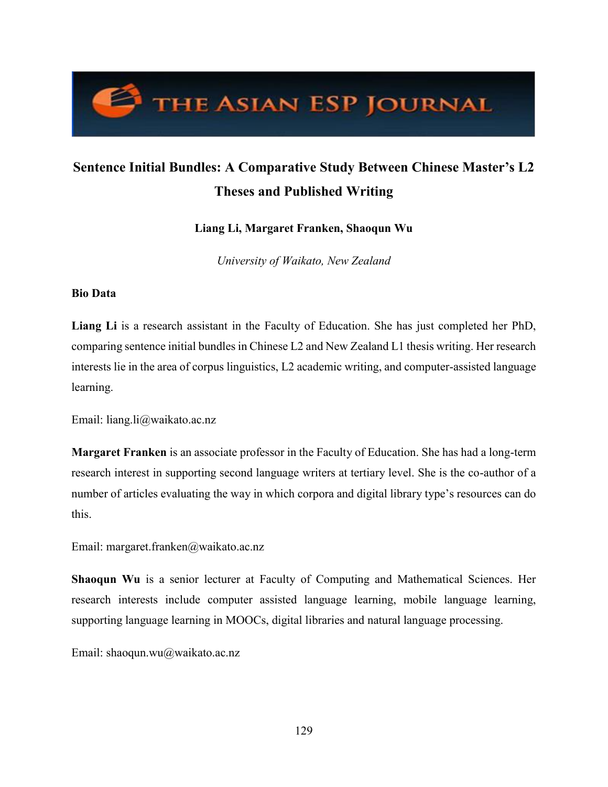# THE ASIAN ESP JOURNAL

# **Sentence Initial Bundles: A Comparative Study Between Chinese Master's L2 Theses and Published Writing**

**Liang Li, Margaret Franken, Shaoqun Wu**

*University of Waikato, New Zealand*

# **Bio Data**

**Liang Li** is a research assistant in the Faculty of Education. She has just completed her PhD, comparing sentence initial bundles in Chinese L2 and New Zealand L1 thesis writing. Her research interests lie in the area of corpus linguistics, L2 academic writing, and computer-assisted language learning.

Email: liang.li@waikato.ac.nz

**Margaret Franken** is an associate professor in the Faculty of Education. She has had a long-term research interest in supporting second language writers at tertiary level. She is the co-author of a number of articles evaluating the way in which corpora and digital library type's resources can do this.

Email: margaret.franken@waikato.ac.nz

**Shaoqun Wu** is a senior lecturer at Faculty of Computing and Mathematical Sciences. Her research interests include computer assisted language learning, mobile language learning, supporting language learning in MOOCs, digital libraries and natural language processing.

Email: shaoqun.wu@waikato.ac.nz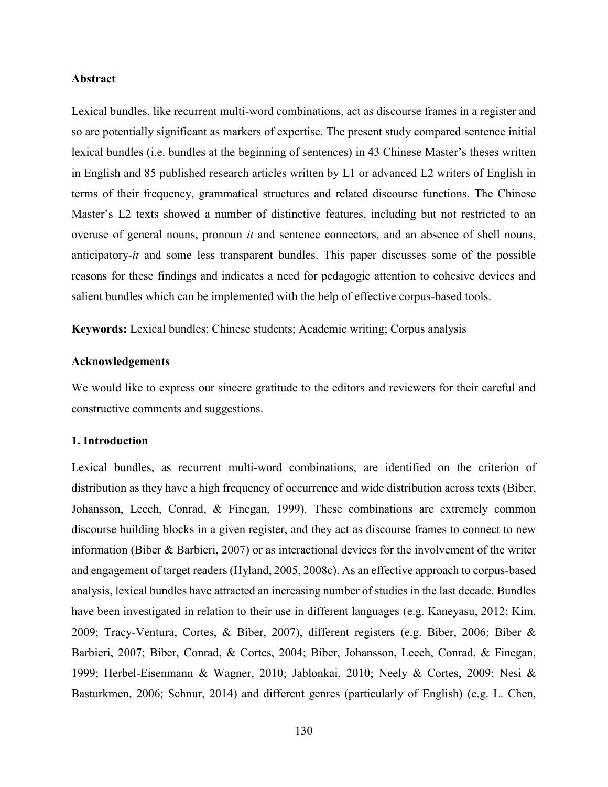#### **Abstract**

Lexical bundles, like recurrent multi-word combinations, act as discourse frames in a register and so are potentially significant as markers of expertise. The present study compared sentence initial lexical bundles (i.e. bundles at the beginning of sentences) in 43 Chinese Master's theses written in English and 85 published research articles written by L1 or advanced L2 writers of English in terms of their frequency, grammatical structures and related discourse functions. The Chinese Master's L2 texts showed a number of distinctive features, including but not restricted to an overuse of general nouns, pronoun *it* and sentence connectors, and an absence of shell nouns, anticipatory-*it* and some less transparent bundles. This paper discusses some of the possible reasons for these findings and indicates a need for pedagogic attention to cohesive devices and salient bundles which can be implemented with the help of effective corpus-based tools.

**Keywords:** Lexical bundles; Chinese students; Academic writing; Corpus analysis

# **Acknowledgements**

We would like to express our sincere gratitude to the editors and reviewers for their careful and constructive comments and suggestions.

#### **1. Introduction**

Lexical bundles, as recurrent multi-word combinations, are identified on the criterion of distribution as they have a high frequency of occurrence and wide distribution across texts [\(Biber,](#page-23-0)  [Johansson, Leech, Conrad, & Finegan, 1999\).](#page-23-0) These combinations are extremely common discourse building blocks in a given register, and they act as discourse frames to connect to new information [\(Biber & Barbieri, 2007\)](#page-23-0) or as interactional devices for the involvement of the writer and engagement of target readers (Hyland, 2005, 2008c). As an effective approach to corpus-based analysis, lexical bundles have attracted an increasing number of studies in the last decade. Bundles have been investigated in relation to their use in different languages (e.g. Kaneyasu, 2012; Kim, 2009; Tracy-Ventura, Cortes, & Biber, 2007), different registers (e.g. Biber, 2006; Biber & Barbieri, 2007; Biber, Conrad, & Cortes, 2004; Biber, Johansson, Leech, Conrad, & Finegan, 1999; Herbel-Eisenmann & Wagner, 2010; Jablonkai, 2010; Neely & Cortes, 2009; Nesi & Basturkmen, 2006; Schnur, 2014) and different genres (particularly of English) (e.g. L. Chen,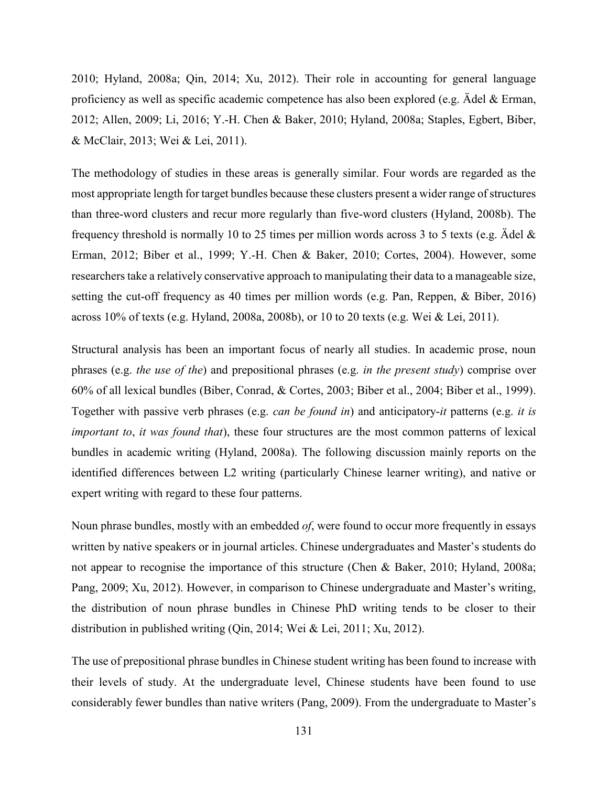2010; Hyland, 2008a; Qin, 2014; Xu, 2012). Their role in accounting for general language proficiency as well as specific academic competence has also been explored (e.g. Ädel & Erman, 2012; Allen, 2009; Li, 2016; Y.-H. Chen & Baker, 2010; Hyland, 2008a; Staples, Egbert, Biber, & McClair, 2013; Wei & Lei, 2011).

The methodology of studies in these areas is generally similar. Four words are regarded as the most appropriate length for target bundles because these clusters present a wider range of structures than three-word clusters and recur more regularly than five-word clusters (Hyland, 2008b). The frequency threshold is normally 10 to 25 times per million words across 3 to 5 texts (e.g. Ädel & Erman, 2012; Biber et al., 1999; Y.-H. Chen & Baker, 2010; Cortes, 2004). However, some researchers take a relatively conservative approach to manipulating their data to a manageable size, setting the cut-off frequency as 40 times per million words (e.g. Pan, Reppen, & Biber, 2016) across 10% of texts (e.g. Hyland, 2008a, 2008b), or 10 to 20 texts (e.g. Wei & Lei, 2011).

Structural analysis has been an important focus of nearly all studies. In academic prose, noun phrases (e.g. *the use of the*) and prepositional phrases (e.g. *in the present study*) comprise over 60% of all lexical bundles (Biber, Conrad, & Cortes, 2003; Biber et al., 2004; Biber et al., 1999). Together with passive verb phrases (e.g. *can be found in*) and anticipatory-*it* patterns (e.g. *it is important to*, *it was found that*), these four structures are the most common patterns of lexical bundles in academic writing [\(Hyland, 2008a\).](#page-23-0) The following discussion mainly reports on the identified differences between L2 writing (particularly Chinese learner writing), and native or expert writing with regard to these four patterns.

Noun phrase bundles, mostly with an embedded *of*, were found to occur more frequently in essays written by native speakers or in journal articles. Chinese undergraduates and Master's students do not appear to recognise the importance of this structure [\(Chen & Baker, 2010;](#page-23-0) [Hyland, 2008a;](#page-23-0) [Pang, 2009;](#page-23-0) [Xu, 2012\).](#page-23-0) However, in comparison to Chinese undergraduate and Master's writing, the distribution of noun phrase bundles in Chinese PhD writing tends to be closer to their distribution in published writing [\(Qin, 2014;](#page-23-0) [Wei & Lei, 2011;](#page-23-0) [Xu, 2012\).](#page-23-0)

The use of prepositional phrase bundles in Chinese student writing has been found to increase with their levels of study. At the undergraduate level, Chinese students have been found to use considerably fewer bundles than native writers (Pang, 2009). From the undergraduate to Master's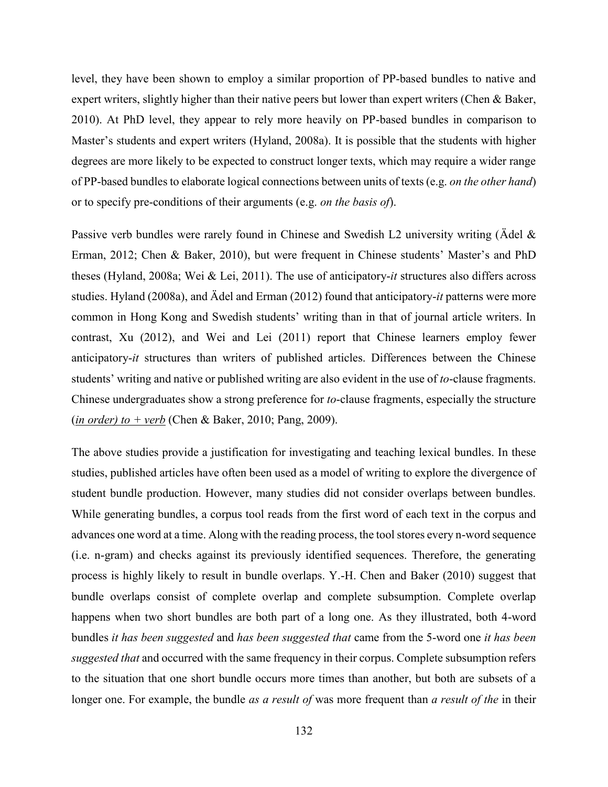level, they have been shown to employ a similar proportion of PP-based bundles to native and expert writers, slightly higher than their native peers but lower than expert writers [\(Chen & Baker,](#page-23-0)  [2010\).](#page-23-0) At PhD level, they appear to rely more heavily on PP-based bundles in comparison to Master's students and expert writers ([Hyland, 2008a\).](#page-23-0) It is possible that the students with higher degrees are more likely to be expected to construct longer texts, which may require a wider range of PP-based bundles to elaborate logical connections between units of texts (e.g. *on the other hand*) or to specify pre-conditions of their arguments (e.g. *on the basis of*).

Passive verb bundles were rarely found in Chinese and Swedish L2 university writing (Ädel & [Erman, 2012;](#page-23-0) [Chen & Baker, 2010\)](#page-23-0), but were frequent in Chinese students' Master's and PhD theses [\(Hyland, 2008a;](#page-23-0) [Wei & Lei, 2011\).](#page-23-0) The use of anticipatory-*it* structures also differs across studies. [Hyland \(2008a\),](#page-23-0) and [Ädel and Erman \(2012\) f](#page-23-0)ound that anticipatory-*it* patterns were more common in Hong Kong and Swedish students' writing than in that of journal article writers. In contrast, [Xu \(2012\),](#page-23-0) and [Wei and Lei \(2011\) r](#page-23-0)eport that Chinese learners employ fewer anticipatory-*it* structures than writers of published articles. Differences between the Chinese students' writing and native or published writing are also evident in the use of *to*-clause fragments. Chinese undergraduates show a strong preference for *to*-clause fragments, especially the structure (*in order) to + verb* [\(Chen & Baker, 2010;](#page-23-0) [Pang, 2009\).](#page-23-0)

The above studies provide a justification for investigating and teaching lexical bundles. In these studies, published articles have often been used as a model of writing to explore the divergence of student bundle production. However, many studies did not consider overlaps between bundles. While generating bundles, a corpus tool reads from the first word of each text in the corpus and advances one word at a time. Along with the reading process, the tool stores every n-word sequence (i.e. n-gram) and checks against its previously identified sequences. Therefore, the generating process is highly likely to result in bundle overlaps. Y.-H. Chen and Baker (2010) suggest that bundle overlaps consist of complete overlap and complete subsumption. Complete overlap happens when two short bundles are both part of a long one. As they illustrated, both 4-word bundles *it has been suggested* and *has been suggested that* came from the 5-word one *it has been suggested that* and occurred with the same frequency in their corpus. Complete subsumption refers to the situation that one short bundle occurs more times than another, but both are subsets of a longer one. For example, the bundle *as a result of* was more frequent than *a result of the* in their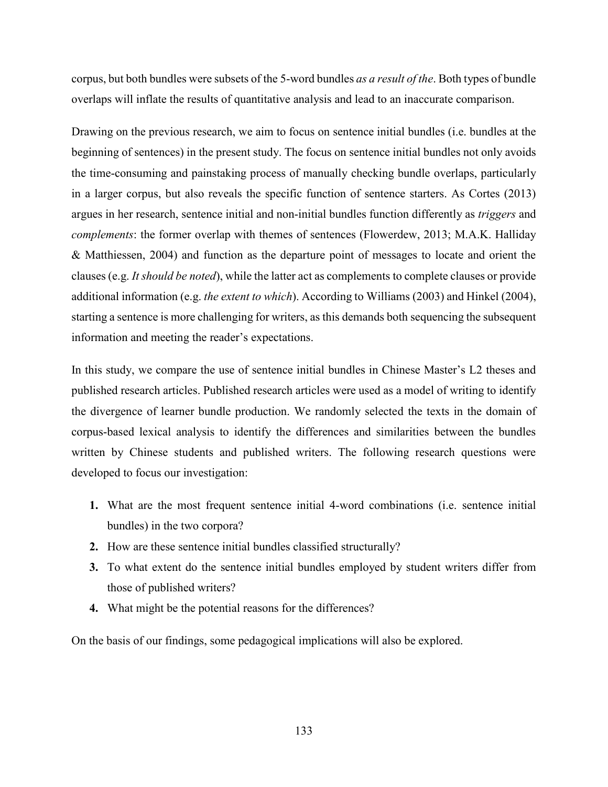corpus, but both bundles were subsets of the 5-word bundles *as a result of the*. Both types of bundle overlaps will inflate the results of quantitative analysis and lead to an inaccurate comparison.

Drawing on the previous research, we aim to focus on sentence initial bundles (i.e. bundles at the beginning of sentences) in the present study. The focus on sentence initial bundles not only avoids the time-consuming and painstaking process of manually checking bundle overlaps, particularly in a larger corpus, but also reveals the specific function of sentence starters. As Cortes (2013) argues in her research, sentence initial and non-initial bundles function differently as *triggers* and *complements*: the former overlap with themes of sentences (Flowerdew, 2013; M.A.K. Halliday & Matthiessen, 2004) and function as the departure point of messages to locate and orient the clauses (e.g. *It should be noted*), while the latter act as complements to complete clauses or provide additional information (e.g. *the extent to which*). According to Williams (2003) and [Hinkel \(2004\),](#page-23-0) starting a sentence is more challenging for writers, as this demands both sequencing the subsequent information and meeting the reader's expectations.

In this study, we compare the use of sentence initial bundles in Chinese Master's L2 theses and published research articles. Published research articles were used as a model of writing to identify the divergence of learner bundle production. We randomly selected the texts in the domain of corpus-based lexical analysis to identify the differences and similarities between the bundles written by Chinese students and published writers. The following research questions were developed to focus our investigation:

- **1.** What are the most frequent sentence initial 4-word combinations (i.e. sentence initial bundles) in the two corpora?
- **2.** How are these sentence initial bundles classified structurally?
- **3.** To what extent do the sentence initial bundles employed by student writers differ from those of published writers?
- **4.** What might be the potential reasons for the differences?

On the basis of our findings, some pedagogical implications will also be explored.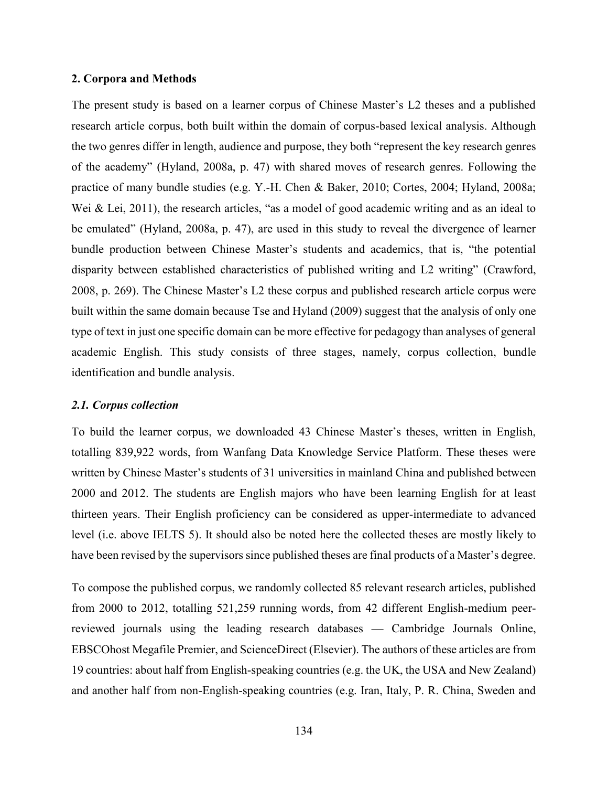#### **2. Corpora and Methods**

The present study is based on a learner corpus of Chinese Master's L2 theses and a published research article corpus, both built within the domain of corpus-based lexical analysis. Although the two genres differ in length, audience and purpose, they both "represent the key research genres of the academy" (Hyland, 2008a, p. 47) with shared moves of research genres. Following the practice of many bundle studies (e.g. Y.-H. Chen & Baker, 2010; Cortes, 2004; Hyland, 2008a; Wei & Lei, 2011), the research articles, "as a model of good academic writing and as an ideal to be emulated" (Hyland, 2008a, p. 47), are used in this study to reveal the divergence of learner bundle production between Chinese Master's students and academics, that is, "the potential disparity between established characteristics of published writing and L2 writing" (Crawford, 2008, p. 269). The Chinese Master's L2 these corpus and published research article corpus were built within the same domain because Tse and Hyland (2009[\)](#page-23-0) suggest that the analysis of only one type of text in just one specific domain can be more effective for pedagogy than analyses of general academic English. This study consists of three stages, namely, corpus collection, bundle identification and bundle analysis.

#### *2.1. Corpus collection*

To build the learner corpus, we downloaded 43 Chinese Master's theses, written in English, totalling 839,922 words, from Wanfang Data Knowledge Service Platform. These theses were written by Chinese Master's students of 31 universities in mainland China and published between 2000 and 2012. The students are English majors who have been learning English for at least thirteen years. Their English proficiency can be considered as upper-intermediate to advanced level (i.e. above IELTS 5). It should also be noted here the collected theses are mostly likely to have been revised by the supervisors since published theses are final products of a Master's degree.

To compose the published corpus, we randomly collected 85 relevant research articles, published from 2000 to 2012, totalling 521,259 running words, from 42 different English-medium peerreviewed journals using the leading research databases — Cambridge Journals Online, EBSCOhost Megafile Premier, and ScienceDirect (Elsevier). The authors of these articles are from 19 countries: about half from English-speaking countries (e.g. the UK, the USA and New Zealand) and another half from non-English-speaking countries (e.g. Iran, Italy, P. R. China, Sweden and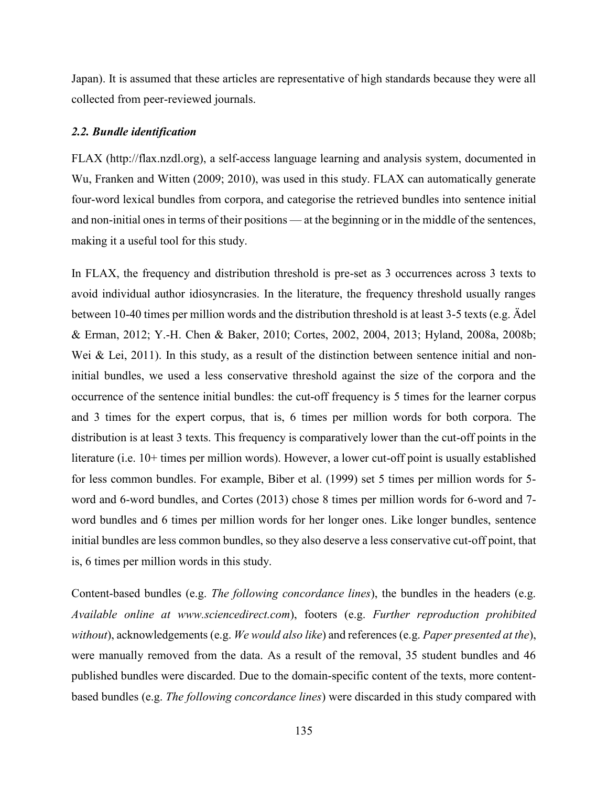Japan). It is assumed that these articles are representative of high standards because they were all collected from peer-reviewed journals.

#### *2.2. Bundle identification*

FLAX (http://flax.nzdl.org), a self-access language learning and analysis system, documented in Wu, Franken and Witten (2009; 2010), was used in this study. FLAX can automatically generate four-word lexical bundles from corpora, and categorise the retrieved bundles into sentence initial and non-initial ones in terms of their positions — at the beginning or in the middle of the sentences, making it a useful tool for this study.

In FLAX, the frequency and distribution threshold is pre-set as 3 occurrences across 3 texts to avoid individual author idiosyncrasies. In the literature, the frequency threshold usually ranges between 10-40 times per million words and the distribution threshold is at least 3-5 texts (e.g. Ädel & Erman, 2012; Y.-H. Chen & Baker, 2010; Cortes, 2002, 2004, 2013; Hyland, 2008a, 2008b; Wei & Lei, 2011). In this study, as a result of the distinction between sentence initial and noninitial bundles, we used a less conservative threshold against the size of the corpora and the occurrence of the sentence initial bundles: the cut-off frequency is 5 times for the learner corpus and 3 times for the expert corpus, that is, 6 times per million words for both corpora. The distribution is at least 3 texts. This frequency is comparatively lower than the cut-off points in the literature (i.e. 10+ times per million words). However, a lower cut-off point is usually established for less common bundles. For example, Biber et al. (1999) set 5 times per million words for 5 word and 6-word bundles, and Cortes (2013) chose 8 times per million words for 6-word and 7 word bundles and 6 times per million words for her longer ones. Like longer bundles, sentence initial bundles are less common bundles, so they also deserve a less conservative cut-off point, that is, 6 times per million words in this study.

Content-based bundles (e.g. *The following concordance lines*), the bundles in the headers (e.g. *Available online at www.sciencedirect.com*), footers (e.g. *Further reproduction prohibited without*), acknowledgements (e.g. *We would also like*) and references (e.g. *Paper presented at the*), were manually removed from the data. As a result of the removal, 35 student bundles and 46 published bundles were discarded. Due to the domain-specific content of the texts, more contentbased bundles (e.g. *The following concordance lines*) were discarded in this study compared with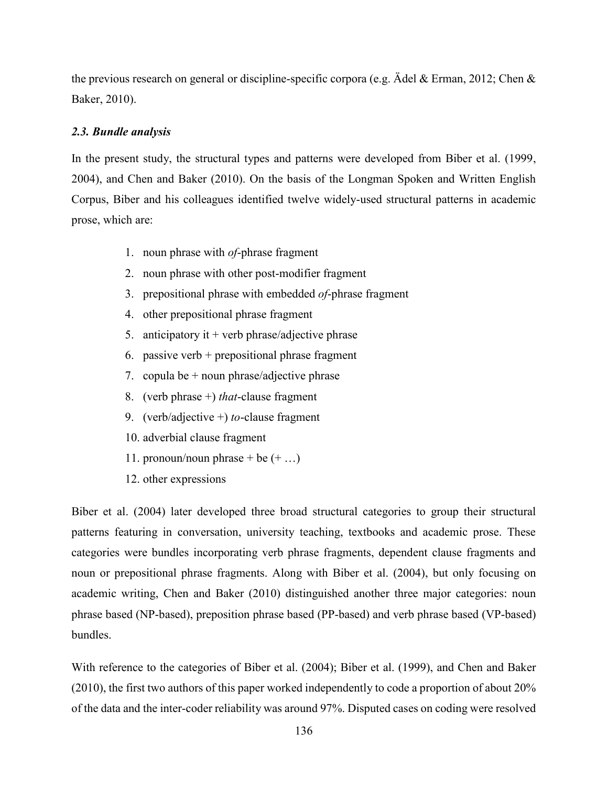the previous research on general or discipline-specific corpora (e.g. Ädel & Erman, 2012; Chen & Baker, 2010).

# *2.3. Bundle analysis*

In the present study, the structural types and patterns were developed from Biber et al. (1999, 2004), and Chen and Baker (2010). On the basis of the Longman Spoken and Written English Corpus, Biber and his colleagues identified twelve widely-used structural patterns in academic prose, which are:

- 1. noun phrase with *of*-phrase fragment
- 2. noun phrase with other post-modifier fragment
- 3. prepositional phrase with embedded *of*-phrase fragment
- 4. other prepositional phrase fragment
- 5. anticipatory it  $+$  verb phrase/adjective phrase
- 6. passive verb + prepositional phrase fragment
- 7. copula be  $+$  noun phrase/adjective phrase
- 8. (verb phrase +) *that*-clause fragment
- 9. (verb/adjective +) *to*-clause fragment
- 10. adverbial clause fragment
- 11. pronoun/noun phrase + be  $(+ \dots)$
- 12. other expressions

[Biber et al. \(2004\) l](#page-23-0)ater developed three broad structural categories to group their structural patterns featuring in conversation, university teaching, textbooks and academic prose. These categories were bundles incorporating verb phrase fragments, dependent clause fragments and noun or prepositional phrase fragments. Along with [Biber et al. \(2004\),](#page-23-0) but only focusing on academic writing, [Chen and Baker \(2010\) d](#page-23-0)istinguished another three major categories: noun phrase based (NP-based), preposition phrase based (PP-based) and verb phrase based (VP-based) bundles.

With reference to the categories of Biber et al. (2004); Biber et al. (1999), and Chen and Baker (2010), the first two authors of this paper worked independently to code a proportion of about 20% of the data and the inter-coder reliability was around 97%. Disputed cases on coding were resolved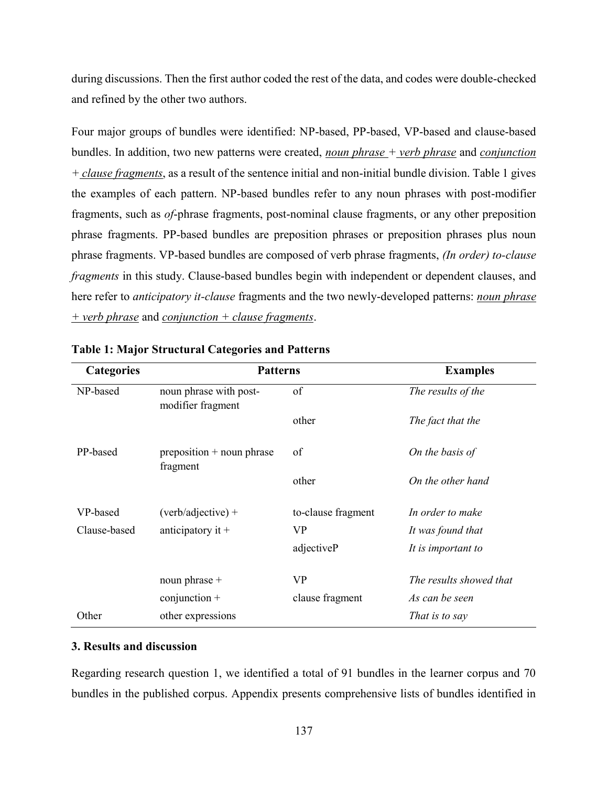during discussions. Then the first author coded the rest of the data, and codes were double-checked and refined by the other two authors.

Four major groups of bundles were identified: NP-based, PP-based, VP-based and clause-based bundles. In addition, two new patterns were created, *noun phrase + verb phrase* and *conjunction + clause fragments*, as a result of the sentence initial and non-initial bundle division. Table 1 gives the examples of each pattern. NP-based bundles refer to any noun phrases with post-modifier fragments, such as *of*-phrase fragments, post-nominal clause fragments, or any other preposition phrase fragments. PP-based bundles are preposition phrases or preposition phrases plus noun phrase fragments. VP-based bundles are composed of verb phrase fragments, *(In order) to-clause fragments* in this study. Clause-based bundles begin with independent or dependent clauses, and here refer to *anticipatory it-clause* fragments and the two newly-developed patterns: *noun phrase + verb phrase* and *conjunction + clause fragments*.

| <b>Categories</b> | <b>Patterns</b>                             |                    | <b>Examples</b>         |
|-------------------|---------------------------------------------|--------------------|-------------------------|
| NP-based          | noun phrase with post-<br>modifier fragment | of                 | The results of the      |
|                   |                                             | other              | The fact that the       |
| PP-based          | $preposition + noun phrase$<br>fragment     | of                 | On the basis of         |
|                   |                                             | other              | On the other hand       |
| VP-based          | $(verb/adjective) +$                        | to-clause fragment | In order to make        |
| Clause-based      | anticipatory it $+$                         | VP                 | It was found that       |
|                   |                                             | adjectiveP         | It is important to      |
|                   | noun phrase +                               | <b>VP</b>          | The results showed that |
|                   | $conjunction +$                             | clause fragment    | As can be seen          |
| Other             | other expressions                           |                    | That is to say          |

# **Table 1: Major Structural Categories and Patterns**

# **3. Results and discussion**

Regarding research question 1, we identified a total of 91 bundles in the learner corpus and 70 bundles in the published corpus. Appendix presents comprehensive lists of bundles identified in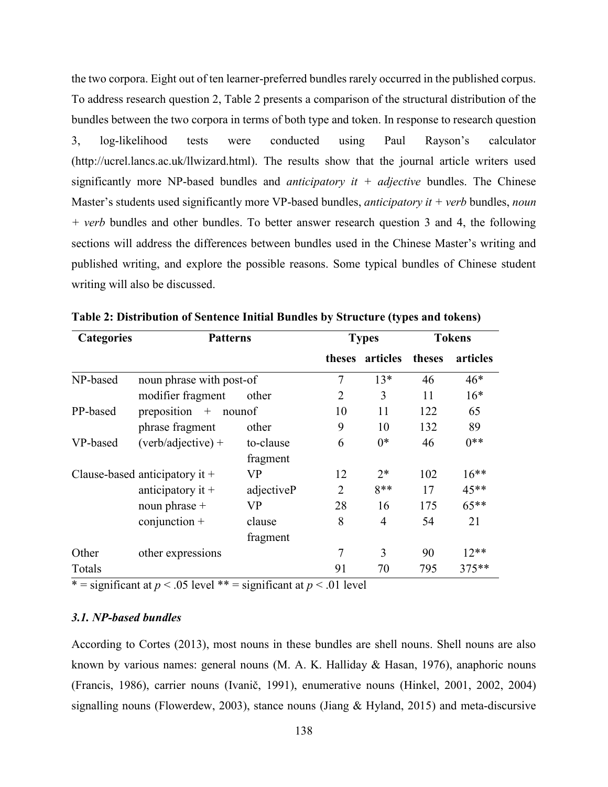the two corpora. Eight out of ten learner-preferred bundles rarely occurred in the published corpus. To address research question 2, Table 2 presents a comparison of the structural distribution of the bundles between the two corpora in terms of both type and token. In response to research question 3, log-likelihood tests were conducted using Paul Rayson's calculator (http://ucrel.lancs.ac.uk/llwizard.html). The results show that the journal article writers used significantly more NP-based bundles and *anticipatory it + adjective* bundles. The Chinese Master's students used significantly more VP-based bundles, *anticipatory it + verb* bundles, *noun + verb* bundles and other bundles. To better answer research question 3 and 4, the following sections will address the differences between bundles used in the Chinese Master's writing and published writing, and explore the possible reasons. Some typical bundles of Chinese student writing will also be discussed.

| <b>Categories</b> | <b>Patterns</b>                  |            |                             | <b>Types</b> |        | <b>Tokens</b> |  |
|-------------------|----------------------------------|------------|-----------------------------|--------------|--------|---------------|--|
|                   |                                  |            | theses                      | articles     | theses | articles      |  |
| NP-based          | noun phrase with post-of         |            | 7                           | $13*$        | 46     | $46*$         |  |
|                   | modifier fragment                | other      | 2                           | 3            | 11     | $16*$         |  |
| PP-based          | preposition $+$                  | nounof     | 10                          | 11           | 122    | 65            |  |
|                   | phrase fragment                  | other      | 9                           | 10           | 132    | 89            |  |
| VP-based          | $(verb/adjective) +$             | to-clause  | 6                           | $0*$         | 46     | $0**$         |  |
|                   |                                  | fragment   |                             |              |        |               |  |
|                   | Clause-based anticipatory it $+$ | VP         | 12                          | $2*$         | 102    | $16**$        |  |
|                   | anticipatory it $+$              | adjectiveP | $\mathcal{D}_{\mathcal{L}}$ | $8**$        | 17     | $45**$        |  |
|                   | noun phrase $+$                  | VP         | 28                          | 16           | 175    | $65***$       |  |
|                   | $conjunction +$                  | clause     | 8                           | 4            | 54     | 21            |  |
|                   |                                  | fragment   |                             |              |        |               |  |
| Other             | other expressions                |            | 7                           | 3            | 90     | $12**$        |  |
| Totals            |                                  |            | 91                          | 70           | 795    | $375**$       |  |

**Table 2: Distribution of Sentence Initial Bundles by Structure (types and tokens)**

\* = significant at  $p < .05$  level \*\* = significant at  $p < .01$  level

# *3.1. NP-based bundles*

According to Cortes (2013), most nouns in these bundles are shell nouns. Shell nouns are also known by various names: general nouns (M. A. K. Halliday & Hasan, 1976), anaphoric nouns (Francis, 1986), carrier nouns (Ivanič, 1991), enumerative nouns (Hinkel, 2001, 2002, 2004) signalling nouns (Flowerdew, 2003), stance nouns (Jiang & Hyland, 2015) and meta-discursive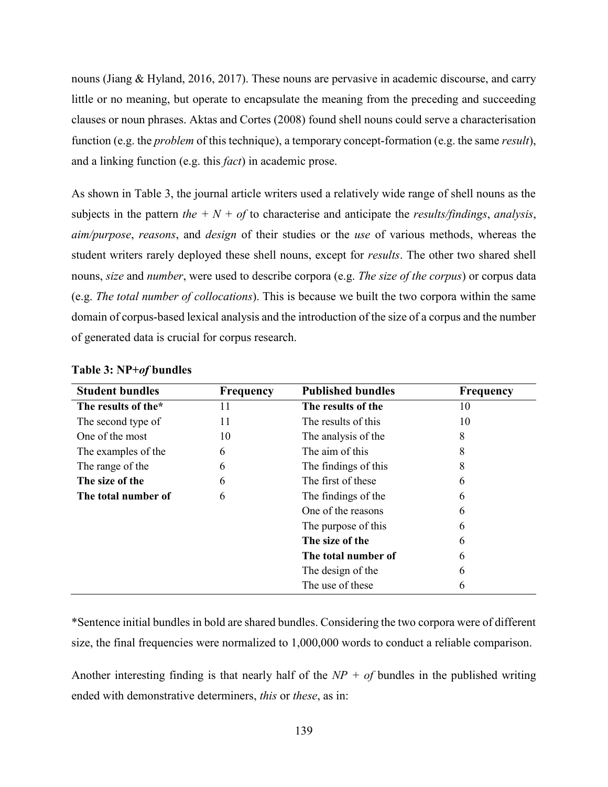nouns (Jiang & Hyland, 2016, 2017). These nouns are pervasive in academic discourse, and carry little or no meaning, but operate to encapsulate the meaning from the preceding and succeeding clauses or noun phrases. Aktas and Cortes (2008) [f](#page-23-0)ound shell nouns could serve a characterisation function (e.g. the *problem* of this technique), a temporary concept-formation (e.g. the same *result*), and a linking function (e.g. this *fact*) in academic prose.

As shown in Table 3, the journal article writers used a relatively wide range of shell nouns as the subjects in the pattern *the*  $+ N + of$  to characterise and anticipate the *results/findings*, *analysis*, *aim/purpose*, *reasons*, and *design* of their studies or the *use* of various methods, whereas the student writers rarely deployed these shell nouns, except for *results*. The other two shared shell nouns, *size* and *number*, were used to describe corpora (e.g. *The size of the corpus*) or corpus data (e.g. *The total number of collocations*). This is because we built the two corpora within the same domain of corpus-based lexical analysis and the introduction of the size of a corpus and the number of generated data is crucial for corpus research.

| <b>Student bundles</b> | Frequency | <b>Published bundles</b> | Frequency |
|------------------------|-----------|--------------------------|-----------|
| The results of the*    | 11        | The results of the       | 10        |
| The second type of     | 11        | The results of this      | 10        |
| One of the most        | 10        | The analysis of the      | 8         |
| The examples of the    | 6         | The aim of this          | 8         |
| The range of the       | 6         | The findings of this     | 8         |
| The size of the        | 6         | The first of these       | 6         |
| The total number of    | 6         | The findings of the      | 6         |
|                        |           | One of the reasons       | 6         |
|                        |           | The purpose of this      | 6         |
|                        |           | The size of the          | 6         |
|                        |           | The total number of      | 6         |
|                        |           | The design of the        | 6         |
|                        |           | The use of these         | 6         |

**Table 3: NP+***of* **bundles**

\*Sentence initial bundles in bold are shared bundles. Considering the two corpora were of different size, the final frequencies were normalized to 1,000,000 words to conduct a reliable comparison.

Another interesting finding is that nearly half of the *NP + of* bundles in the published writing ended with demonstrative determiners, *this* or *these*, as in: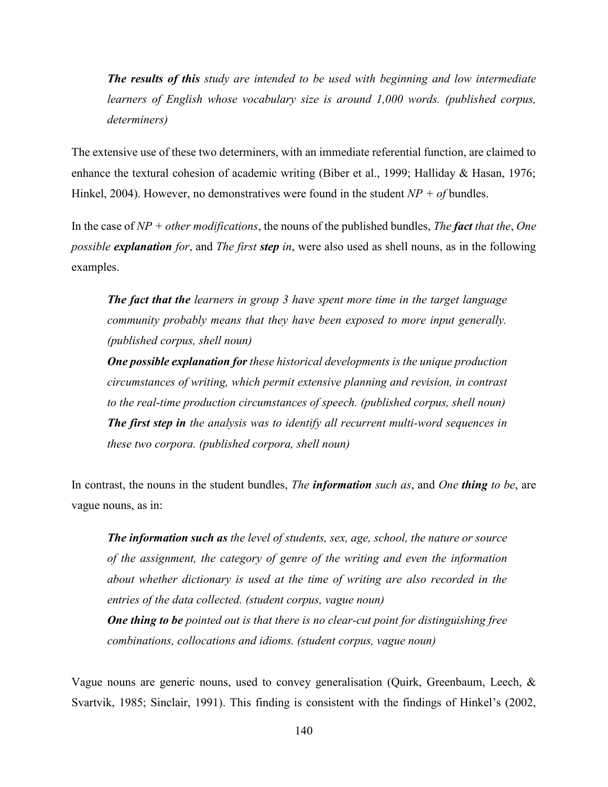*The results of this study are intended to be used with beginning and low intermediate learners of English whose vocabulary size is around 1,000 words. (published corpus, determiners)*

The extensive use of these two determiners, with an immediate referential function, are claimed to enhance the textural cohesion of academic writing (Biber et al., 1999; Halliday & Hasan, 1976; Hinkel, 2004). However, no demonstratives were found in the student  $NP + of$  bundles.

In the case of *NP + other modifications*, the nouns of the published bundles, *The fact that the*, *One possible explanation for*, and *The first step in*, were also used as shell nouns, as in the following examples.

*The fact that the learners in group 3 have spent more time in the target language community probably means that they have been exposed to more input generally. (published corpus, shell noun)*

*One possible explanation for these historical developments is the unique production circumstances of writing, which permit extensive planning and revision, in contrast to the real-time production circumstances of speech. (published corpus, shell noun) The first step in the analysis was to identify all recurrent multi-word sequences in these two corpora. (published corpora, shell noun)*

In contrast, the nouns in the student bundles, *The information such as*, and *One thing to be*, are vague nouns, as in:

*The information such as the level of students, sex, age, school, the nature or source of the assignment, the category of genre of the writing and even the information about whether dictionary is used at the time of writing are also recorded in the entries of the data collected. (student corpus, vague noun) One thing to be pointed out is that there is no clear-cut point for distinguishing free combinations, collocations and idioms. (student corpus, vague noun)*

Vague nouns are generic nouns, used to convey generalisation (Quirk, Greenbaum, Leech, & Svartvik, 1985; Sinclair, 1991). This finding is consistent with the findings of Hinkel's (2002,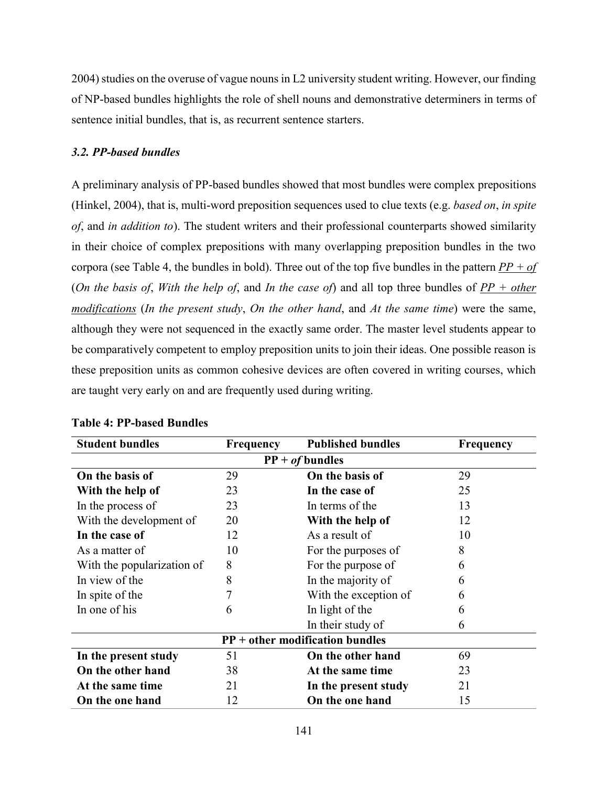2004) studies on the overuse of vague nouns in L2 university student writing. However, our finding of NP-based bundles highlights the role of shell nouns and demonstrative determiners in terms of sentence initial bundles, that is, as recurrent sentence starters.

# *3.2. PP-based bundles*

A preliminary analysis of PP-based bundles showed that most bundles were complex prepositions (Hinkel, 2004), that is, multi-word preposition sequences used to clue texts (e.g. *based on*, *in spite of*, and *in addition to*). The student writers and their professional counterparts showed similarity in their choice of complex prepositions with many overlapping preposition bundles in the two corpora (see Table 4, the bundles in bold). Three out of the top five bundles in the pattern *PP + of* (*On the basis of*, *With the help of*, and *In the case of*) and all top three bundles of *PP + other modifications* (*In the present study*, *On the other hand*, and *At the same time*) were the same, although they were not sequenced in the exactly same order. The master level students appear to be comparatively competent to employ preposition units to join their ideas. One possible reason is these preposition units as common cohesive devices are often covered in writing courses, which are taught very early on and are frequently used during writing.

| <b>Student bundles</b>     | Frequency         | <b>Published bundles</b>          | Frequency |  |  |
|----------------------------|-------------------|-----------------------------------|-----------|--|--|
|                            | $PP + of$ bundles |                                   |           |  |  |
| On the basis of            | 29                | On the basis of                   | 29        |  |  |
| With the help of           | 23                | In the case of                    | 25        |  |  |
| In the process of          | 23                | In terms of the                   | 13        |  |  |
| With the development of    | 20                | With the help of                  | 12        |  |  |
| In the case of             | 12                | As a result of                    | 10        |  |  |
| As a matter of             | 10                | For the purposes of               | 8         |  |  |
| With the popularization of | 8                 | For the purpose of                | 6         |  |  |
| In view of the             | 8                 | In the majority of                | 6         |  |  |
| In spite of the            | 7                 | With the exception of             | 6         |  |  |
| In one of his              | 6                 | In light of the                   | 6         |  |  |
|                            |                   | In their study of                 | 6         |  |  |
|                            |                   | $PP + other modification bundles$ |           |  |  |
| In the present study       | 51                | On the other hand                 | 69        |  |  |
| On the other hand          | 38                | At the same time                  | 23        |  |  |
| At the same time           | 21                | In the present study              | 21        |  |  |
| On the one hand            | 12                | On the one hand                   | 15        |  |  |

# **Table 4: PP-based Bundles**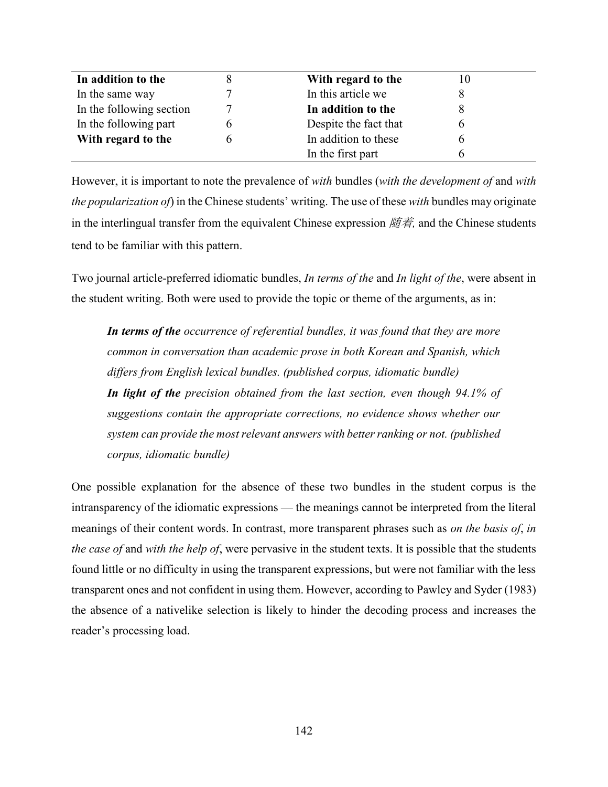| In addition to the       | With regard to the    | 10 |
|--------------------------|-----------------------|----|
| In the same way          | In this article we    |    |
| In the following section | In addition to the    |    |
| In the following part    | Despite the fact that |    |
| With regard to the       | In addition to these  |    |
|                          | In the first part     |    |

However, it is important to note the prevalence of *with* bundles (*with the development of* and *with the popularization of*) in the Chinese students' writing. The use of these *with* bundles may originate in the interlingual transfer from the equivalent Chinese expression 随着, and the Chinese students tend to be familiar with this pattern.

Two journal article-preferred idiomatic bundles, *In terms of the* and *In light of the*, were absent in the student writing. Both were used to provide the topic or theme of the arguments, as in:

*In terms of the occurrence of referential bundles, it was found that they are more common in conversation than academic prose in both Korean and Spanish, which differs from English lexical bundles. (published corpus, idiomatic bundle) In light of the precision obtained from the last section, even though 94.1% of suggestions contain the appropriate corrections, no evidence shows whether our system can provide the most relevant answers with better ranking or not. (published corpus, idiomatic bundle)*

One possible explanation for the absence of these two bundles in the student corpus is the intransparency of the idiomatic expressions — the meanings cannot be interpreted from the literal meanings of their content words. In contrast, more transparent phrases such as *on the basis of*, *in the case of* and *with the help of*, were pervasive in the student texts. It is possible that the students found little or no difficulty in using the transparent expressions, but were not familiar with the less transparent ones and not confident in using them. However, according to Pawley and Syder (1983) the absence of a nativelike selection is likely to hinder the decoding process and increases the reader's processing load.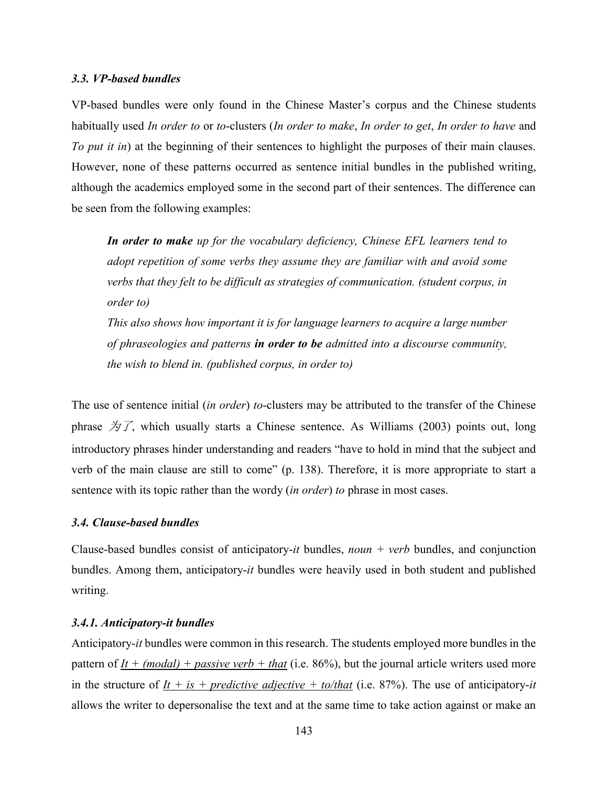#### *3.3. VP-based bundles*

VP-based bundles were only found in the Chinese Master's corpus and the Chinese students habitually used *In order to* or *to*-clusters (*In order to make*, *In order to get*, *In order to have* and *To put it in*) at the beginning of their sentences to highlight the purposes of their main clauses. However, none of these patterns occurred as sentence initial bundles in the published writing, although the academics employed some in the second part of their sentences. The difference can be seen from the following examples:

*In order to make up for the vocabulary deficiency, Chinese EFL learners tend to adopt repetition of some verbs they assume they are familiar with and avoid some verbs that they felt to be difficult as strategies of communication. (student corpus, in order to)*

*This also shows how important it is for language learners to acquire a large number of phraseologies and patterns in order to be admitted into a discourse community, the wish to blend in. (published corpus, in order to)*

The use of sentence initial (*in order*) *to*-clusters may be attributed to the transfer of the Chinese phrase  $\overline{\mathcal{D}}\mathcal{T}$ , which usually starts a Chinese sentence. As [Williams \(2003\) p](#page-23-0)oints out, long introductory phrases hinder understanding and readers "have to hold in mind that the subject and verb of the main clause are still to come" (p. 138). Therefore, it is more appropriate to start a sentence with its topic rather than the wordy (*in order*) *to* phrase in most cases.

### *3.4. Clause-based bundles*

Clause-based bundles consist of anticipatory-*it* bundles, *noun + verb* bundles, and conjunction bundles. Among them, anticipatory-*it* bundles were heavily used in both student and published writing.

# *3.4.1. Anticipatory-it bundles*

Anticipatory-*it* bundles were common in this research. The students employed more bundles in the pattern of  $It + (modal) + passive verb + that$  (i.e. 86%), but the journal article writers used more in the structure of  $It + is + predictive \cdot adjective + to/that$  (i.e. 87%). The use of anticipatory-*it* allows the writer to depersonalise the text and at the same time to take action against or make an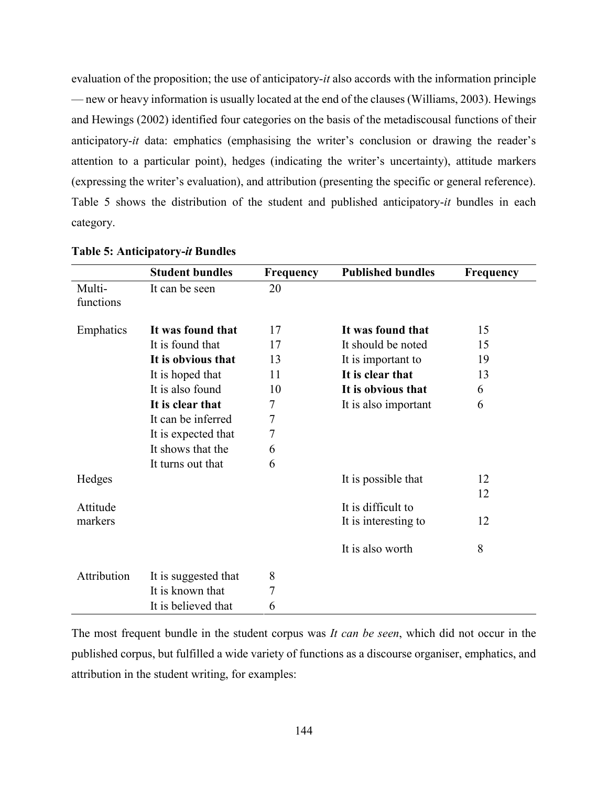evaluation of the proposition; the use of anticipatory-*it* also accords with the information principle — new or heavy information is usually located at the end of the clauses (Williams, 2003). Hewings and Hewings (2002) [i](#page-23-0)dentified four categories on the basis of the metadiscousal functions of their anticipatory-*it* data: emphatics (emphasising the writer's conclusion or drawing the reader's attention to a particular point), hedges (indicating the writer's uncertainty), attitude markers (expressing the writer's evaluation), and attribution (presenting the specific or general reference). Table 5 shows the distribution of the student and published anticipatory-*it* bundles in each category.

|             | <b>Student bundles</b> | Frequency        | <b>Published bundles</b> | <b>Frequency</b> |
|-------------|------------------------|------------------|--------------------------|------------------|
| Multi-      | It can be seen         | 20               |                          |                  |
| functions   |                        |                  |                          |                  |
| Emphatics   | It was found that      | 17               | It was found that        | 15               |
|             | It is found that       | 17               | It should be noted       | 15               |
|             | It is obvious that     | 13               | It is important to       | 19               |
|             | It is hoped that       | 11               | It is clear that         | 13               |
|             | It is also found       | 10               | It is obvious that       | 6                |
|             | It is clear that       | 7                | It is also important     | 6                |
|             | It can be inferred     | 7                |                          |                  |
|             | It is expected that    | $\boldsymbol{7}$ |                          |                  |
|             | It shows that the      | 6                |                          |                  |
|             | It turns out that      | 6                |                          |                  |
| Hedges      |                        |                  | It is possible that      | 12               |
|             |                        |                  |                          | 12               |
| Attitude    |                        |                  | It is difficult to       |                  |
| markers     |                        |                  | It is interesting to     | 12               |
|             |                        |                  | It is also worth         | 8                |
| Attribution | It is suggested that   | 8                |                          |                  |
|             | It is known that       | 7                |                          |                  |
|             | It is believed that    | 6                |                          |                  |

#### **Table 5: Anticipatory-***it* **Bundles**

The most frequent bundle in the student corpus was *It can be seen*, which did not occur in the published corpus, but fulfilled a wide variety of functions as a discourse organiser, emphatics, and attribution in the student writing, for examples: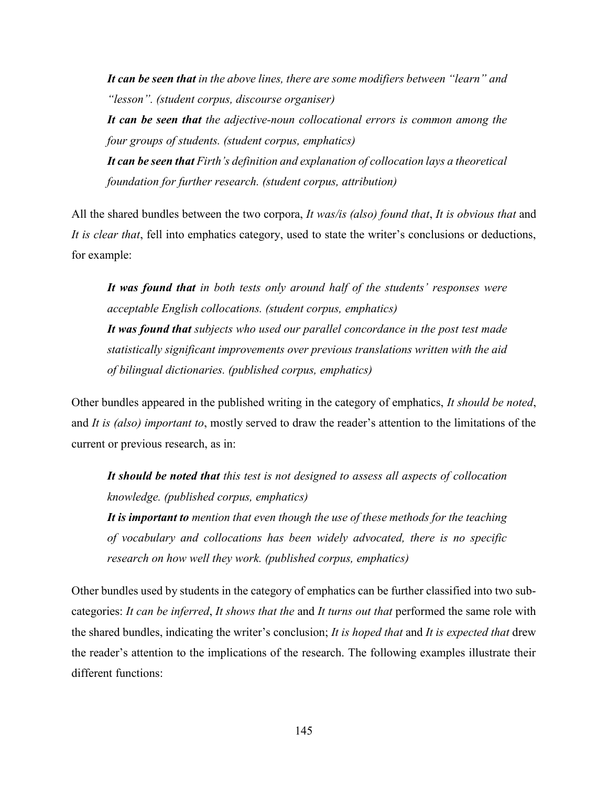*It can be seen that in the above lines, there are some modifiers between "learn" and "lesson". (student corpus, discourse organiser) It can be seen that the adjective-noun collocational errors is common among the* 

*four groups of students. (student corpus, emphatics) It can be seen that Firth's definition and explanation of collocation lays a theoretical foundation for further research. (student corpus, attribution)*

All the shared bundles between the two corpora, *It was/is (also) found that*, *It is obvious that* and *It is clear that*, fell into emphatics category, used to state the writer's conclusions or deductions, for example:

*It was found that in both tests only around half of the students' responses were acceptable English collocations. (student corpus, emphatics) It was found that subjects who used our parallel concordance in the post test made statistically significant improvements over previous translations written with the aid of bilingual dictionaries. (published corpus, emphatics)*

Other bundles appeared in the published writing in the category of emphatics, *It should be noted*, and *It is (also) important to*, mostly served to draw the reader's attention to the limitations of the current or previous research, as in:

*It should be noted that this test is not designed to assess all aspects of collocation knowledge. (published corpus, emphatics) It is important to mention that even though the use of these methods for the teaching of vocabulary and collocations has been widely advocated, there is no specific* 

*research on how well they work. (published corpus, emphatics)*

Other bundles used by students in the category of emphatics can be further classified into two subcategories: *It can be inferred*, *It shows that the* and *It turns out that* performed the same role with the shared bundles, indicating the writer's conclusion; *It is hoped that* and *It is expected that* drew the reader's attention to the implications of the research. The following examples illustrate their different functions: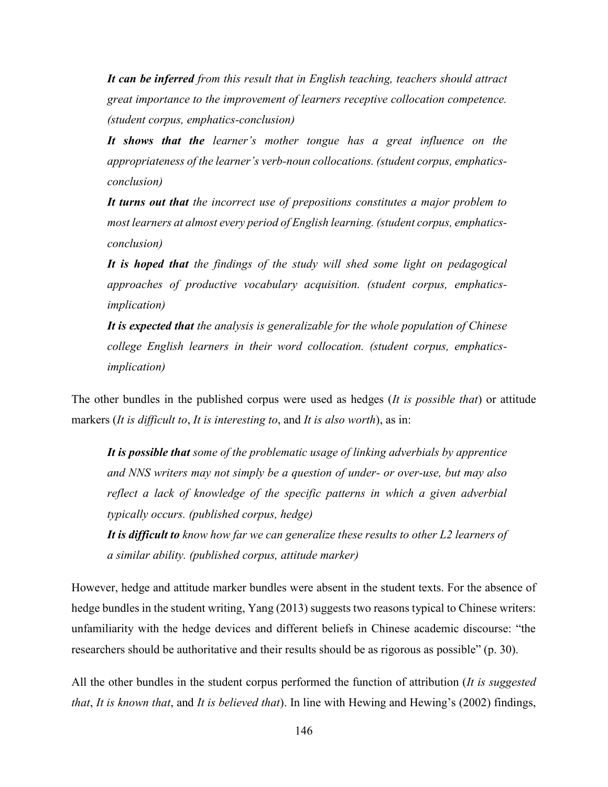*It can be inferred from this result that in English teaching, teachers should attract great importance to the improvement of learners receptive collocation competence. (student corpus, emphatics-conclusion)*

*It shows that the learner's mother tongue has a great influence on the appropriateness of the learner's verb-noun collocations. (student corpus, emphaticsconclusion)*

*It turns out that the incorrect use of prepositions constitutes a major problem to most learners at almost every period of English learning. (student corpus, emphaticsconclusion)*

*It is hoped that the findings of the study will shed some light on pedagogical approaches of productive vocabulary acquisition. (student corpus, emphaticsimplication)*

*It is expected that the analysis is generalizable for the whole population of Chinese college English learners in their word collocation. (student corpus, emphaticsimplication)*

The other bundles in the published corpus were used as hedges (*It is possible that*) or attitude markers (*It is difficult to*, *It is interesting to*, and *It is also worth*), as in:

*It is possible that some of the problematic usage of linking adverbials by apprentice and NNS writers may not simply be a question of under- or over-use, but may also reflect a lack of knowledge of the specific patterns in which a given adverbial typically occurs. (published corpus, hedge)*

*It is difficult to know how far we can generalize these results to other L2 learners of a similar ability. (published corpus, attitude marker)*

However, hedge and attitude marker bundles were absent in the student texts. For the absence of hedge bundles in the student writing, Yang (2013) suggests two reasons typical to Chinese writers: unfamiliarity with the hedge devices and different beliefs in Chinese academic discourse: "the researchers should be authoritative and their results should be as rigorous as possible" (p. 30).

All the other bundles in the student corpus performed the function of attribution (*It is suggested that*, *It is known that*, and *It is believed that*). In line with Hewing and Hewing's (2002) findings,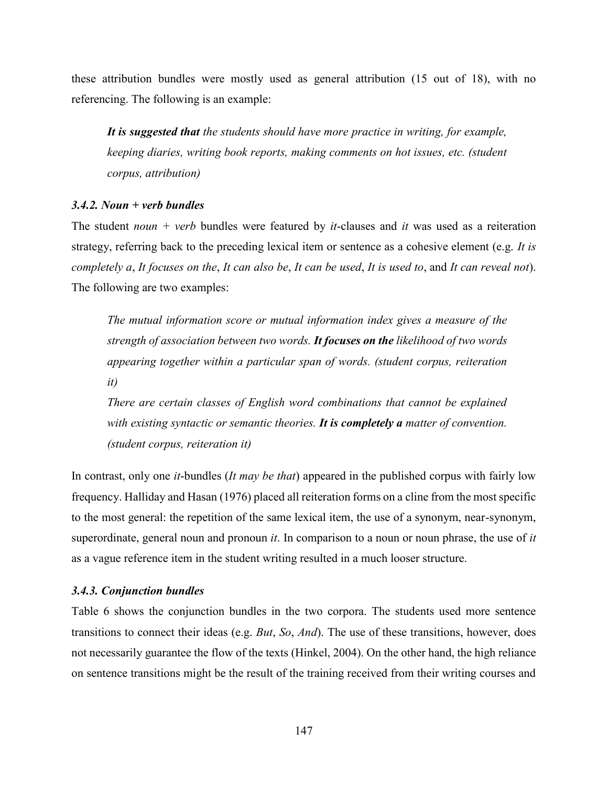these attribution bundles were mostly used as general attribution (15 out of 18), with no referencing. The following is an example:

*It is suggested that the students should have more practice in writing, for example, keeping diaries, writing book reports, making comments on hot issues, etc. (student corpus, attribution)*

# *3.4.2. Noun + verb bundles*

The student *noun + verb* bundles were featured by *it*-clauses and *it* was used as a reiteration strategy, referring back to the preceding lexical item or sentence as a cohesive element (e.g. *It is completely a*, *It focuses on the*, *It can also be*, *It can be used*, *It is used to*, and *It can reveal not*). The following are two examples:

*The mutual information score or mutual information index gives a measure of the strength of association between two words. It focuses on the likelihood of two words appearing together within a particular span of words. (student corpus, reiteration it)*

*There are certain classes of English word combinations that cannot be explained with existing syntactic or semantic theories. It is completely a matter of convention. (student corpus, reiteration it)*

In contrast, only one *it*-bundles (*It may be that*) appeared in the published corpus with fairly low frequency. Halliday and Hasan (1976) placed all reiteration forms on a cline from the most specific to the most general: the repetition of the same lexical item, the use of a synonym, near-synonym, superordinate, general noun and pronoun *it*. In comparison to a noun or noun phrase, the use of *it* as a vague reference item in the student writing resulted in a much looser structure.

### *3.4.3. Conjunction bundles*

Table 6 shows the conjunction bundles in the two corpora. The students used more sentence transitions to connect their ideas (e.g. *But*, *So*, *And*). The use of these transitions, however, does not necessarily guarantee the flow of the texts (Hinkel, 2004). On the other hand, the high reliance on sentence transitions might be the result of the training received from their writing courses and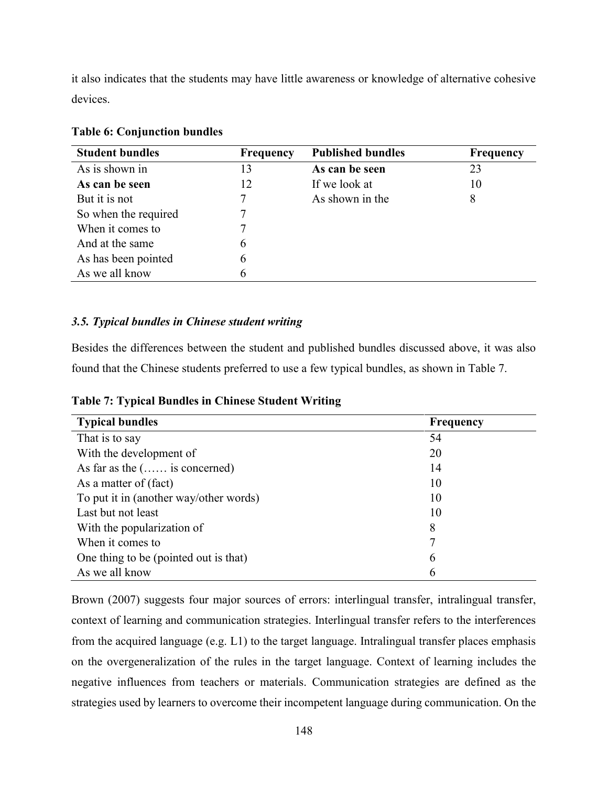it also indicates that the students may have little awareness or knowledge of alternative cohesive devices.

| <b>Student bundles</b> | <b>Frequency</b> | <b>Published bundles</b> | <b>Frequency</b> |
|------------------------|------------------|--------------------------|------------------|
| As is shown in         | 13               | As can be seen           | 23               |
| As can be seen         | 12               | If we look at            | 10               |
| But it is not          | 7                | As shown in the          | 8                |
| So when the required   | 7                |                          |                  |
| When it comes to       | 7                |                          |                  |
| And at the same        | 6                |                          |                  |
| As has been pointed    | 6                |                          |                  |
| As we all know         | 6                |                          |                  |

# **Table 6: Conjunction bundles**

# *3.5. Typical bundles in Chinese student writing*

Besides the differences between the student and published bundles discussed above, it was also found that the Chinese students preferred to use a few typical bundles, as shown in Table 7.

| <b>Typical bundles</b>                 | <b>Frequency</b> |
|----------------------------------------|------------------|
| That is to say                         | 54               |
| With the development of                | 20               |
| As far as the $(\ldots)$ is concerned) | 14               |
| As a matter of (fact)                  | 10               |
| To put it in (another way/other words) | 10               |
| Last but not least                     | 10               |
| With the popularization of             | 8                |
| When it comes to                       | 7                |
| One thing to be (pointed out is that)  | 6                |
| As we all know                         | 6                |

**Table 7: Typical Bundles in Chinese Student Writing**

Brown (2007) [s](#page-23-0)uggests four major sources of errors: interlingual transfer, intralingual transfer, context of learning and communication strategies. Interlingual transfer refers to the interferences from the acquired language (e.g. L1) to the target language. Intralingual transfer places emphasis on the overgeneralization of the rules in the target language. Context of learning includes the negative influences from teachers or materials. Communication strategies are defined as the strategies used by learners to overcome their incompetent language during communication. On the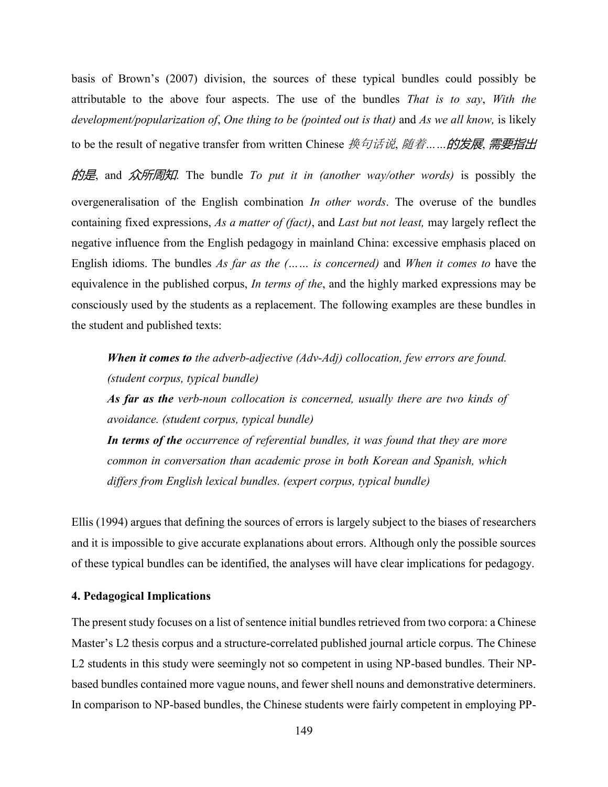basis of Brown's (2007) division, the sources of these typical bundles could possibly be attributable to the above four aspects. The use of the bundles *That is to say*, *With the development/popularization of*, *One thing to be (pointed out is that)* and *As we all know,* is likely to be the result of negative transfer from written Chinese 换句话说, 随着*……*的发展, 需要指出

的是, and 众所周知. The bundle *To put it in (another way/other words)* is possibly the overgeneralisation of the English combination *In other words*. The overuse of the bundles containing fixed expressions, *As a matter of (fact)*, and *Last but not least,* may largely reflect the negative influence from the English pedagogy in mainland China: excessive emphasis placed on English idioms. The bundles *As far as the (…… is concerned)* and *When it comes to* have the equivalence in the published corpus, *In terms of the*, and the highly marked expressions may be consciously used by the students as a replacement. The following examples are these bundles in the student and published texts:

*When it comes to the adverb-adjective (Adv-Adj) collocation, few errors are found. (student corpus, typical bundle) As far as the verb-noun collocation is concerned, usually there are two kinds of avoidance. (student corpus, typical bundle)*

*In terms of the occurrence of referential bundles, it was found that they are more common in conversation than academic prose in both Korean and Spanish, which differs from English lexical bundles. (expert corpus, typical bundle)*

Ellis (1994) argues that defining the sources of errors is largely subject to the biases of researchers and it is impossible to give accurate explanations about errors. Although only the possible sources of these typical bundles can be identified, the analyses will have clear implications for pedagogy.

# **4. Pedagogical Implications**

The present study focuses on a list of sentence initial bundles retrieved from two corpora: a Chinese Master's L2 thesis corpus and a structure-correlated published journal article corpus. The Chinese L2 students in this study were seemingly not so competent in using NP-based bundles. Their NPbased bundles contained more vague nouns, and fewer shell nouns and demonstrative determiners. In comparison to NP-based bundles, the Chinese students were fairly competent in employing PP-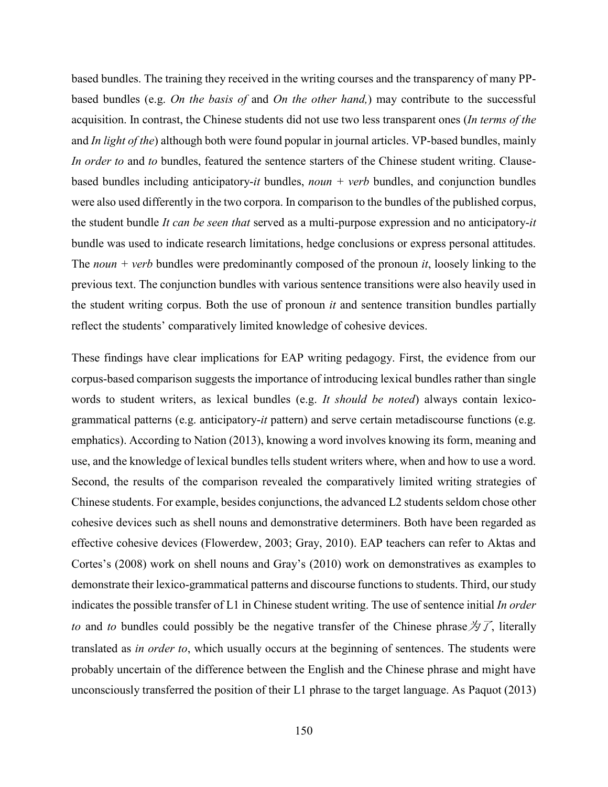based bundles. The training they received in the writing courses and the transparency of many PPbased bundles (e.g. *On the basis of* and *On the other hand,*) may contribute to the successful acquisition. In contrast, the Chinese students did not use two less transparent ones (*In terms of the* and *In light of the*) although both were found popular in journal articles. VP-based bundles, mainly *In order to* and *to* bundles, featured the sentence starters of the Chinese student writing. Clausebased bundles including anticipatory-*it* bundles, *noun + verb* bundles, and conjunction bundles were also used differently in the two corpora. In comparison to the bundles of the published corpus, the student bundle *It can be seen that* served as a multi-purpose expression and no anticipatory-*it* bundle was used to indicate research limitations, hedge conclusions or express personal attitudes. The *noun + verb* bundles were predominantly composed of the pronoun *it*, loosely linking to the previous text. The conjunction bundles with various sentence transitions were also heavily used in the student writing corpus. Both the use of pronoun *it* and sentence transition bundles partially reflect the students' comparatively limited knowledge of cohesive devices.

These findings have clear implications for EAP writing pedagogy. First, the evidence from our corpus-based comparison suggests the importance of introducing lexical bundles rather than single words to student writers, as lexical bundles (e.g. *It should be noted*) always contain lexicogrammatical patterns (e.g. anticipatory-*it* pattern) and serve certain metadiscourse functions (e.g. emphatics). According to Nation (2013), knowing a word involves knowing its form, meaning and use, and the knowledge of lexical bundles tells student writers where, when and how to use a word. Second, the results of the comparison revealed the comparatively limited writing strategies of Chinese students. For example, besides conjunctions, the advanced L2 students seldom chose other cohesive devices such as shell nouns and demonstrative determiners. Both have been regarded as effective cohesive devices (Flowerdew, 2003; Gray, 2010). EAP teachers can refer to Aktas and Cortes's (2008) work on shell nouns and Gray's (2010) work on demonstratives as examples to demonstrate their lexico-grammatical patterns and discourse functions to students. Third, our study indicates the possible transfer of L1 in Chinese student writing. The use of sentence initial *In order to* and *to* bundles could possibly be the negative transfer of the Chinese phrase  $\forall \mathcal{T}$ , literally translated as *in order to*, which usually occurs at the beginning of sentences. The students were probably uncertain of the difference between the English and the Chinese phrase and might have unconsciously transferred the position of their L1 phrase to the target language. As Paquot (2013)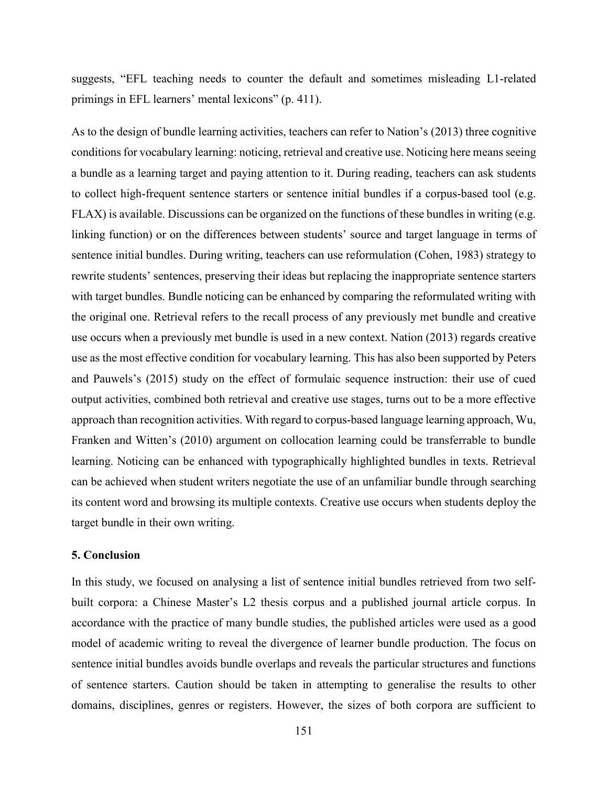suggests, "EFL teaching needs to counter the default and sometimes misleading L1-related primings in EFL learners' mental lexicons" (p. 411).

As to the design of bundle learning activities, teachers can refer to Nation's (2013) three cognitive conditions for vocabulary learning: noticing, retrieval and creative use. Noticing here means seeing a bundle as a learning target and paying attention to it. During reading, teachers can ask students to collect high-frequent sentence starters or sentence initial bundles if a corpus-based tool (e.g. FLAX) is available. Discussions can be organized on the functions of these bundles in writing (e.g. linking function) or on the differences between students' source and target language in terms of sentence initial bundles. During writing, teachers can use reformulation (Cohen, 1983) strategy to rewrite students' sentences, preserving their ideas but replacing the inappropriate sentence starters with target bundles. Bundle noticing can be enhanced by comparing the reformulated writing with the original one. Retrieval refers to the recall process of any previously met bundle and creative use occurs when a previously met bundle is used in a new context. Nation (2013) regards creative use as the most effective condition for vocabulary learning. This has also been supported by Peters and Pauwels's (2015) study on the effect of formulaic sequence instruction: their use of cued output activities, combined both retrieval and creative use stages, turns out to be a more effective approach than recognition activities. With regard to corpus-based language learning approach, Wu, Franken and Witten's (2010) argument on collocation learning could be transferrable to bundle learning. Noticing can be enhanced with typographically highlighted bundles in texts. Retrieval can be achieved when student writers negotiate the use of an unfamiliar bundle through searching its content word and browsing its multiple contexts. Creative use occurs when students deploy the target bundle in their own writing.

#### **5. Conclusion**

In this study, we focused on analysing a list of sentence initial bundles retrieved from two selfbuilt corpora: a Chinese Master's L2 thesis corpus and a published journal article corpus. In accordance with the practice of many bundle studies, the published articles were used as a good model of academic writing to reveal the divergence of learner bundle production. The focus on sentence initial bundles avoids bundle overlaps and reveals the particular structures and functions of sentence starters. Caution should be taken in attempting to generalise the results to other domains, disciplines, genres or registers. However, the sizes of both corpora are sufficient to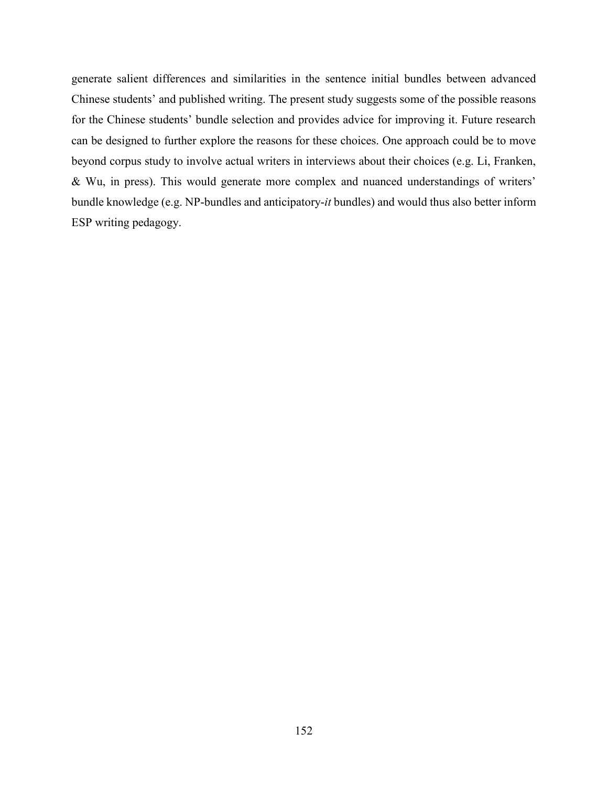<span id="page-23-0"></span>generate salient differences and similarities in the sentence initial bundles between advanced Chinese students' and published writing. The present study suggests some of the possible reasons for the Chinese students' bundle selection and provides advice for improving it. Future research can be designed to further explore the reasons for these choices. One approach could be to move beyond corpus study to involve actual writers in interviews about their choices (e.g. Li, Franken, & Wu, in press). This would generate more complex and nuanced understandings of writers' bundle knowledge (e.g. NP-bundles and anticipatory-*it* bundles) and would thus also better inform ESP writing pedagogy.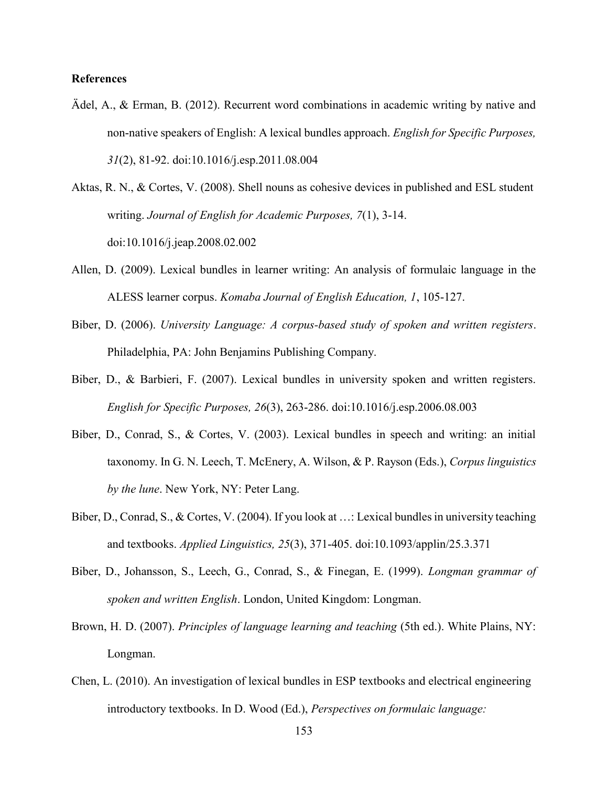# **References**

- Ädel, A., & Erman, B. (2012). Recurrent word combinations in academic writing by native and non-native speakers of English: A lexical bundles approach. *English for Specific Purposes, 31*(2), 81-92. doi:10.1016/j.esp.2011.08.004
- Aktas, R. N., & Cortes, V. (2008). Shell nouns as cohesive devices in published and ESL student writing. *Journal of English for Academic Purposes, 7*(1), 3-14. doi:10.1016/j.jeap.2008.02.002
- Allen, D. (2009). Lexical bundles in learner writing: An analysis of formulaic language in the ALESS learner corpus. *Komaba Journal of English Education, 1*, 105-127.
- Biber, D. (2006). *University Language: A corpus-based study of spoken and written registers*. Philadelphia, PA: John Benjamins Publishing Company.
- Biber, D., & Barbieri, F. (2007). Lexical bundles in university spoken and written registers. *English for Specific Purposes, 26*(3), 263-286. doi:10.1016/j.esp.2006.08.003
- Biber, D., Conrad, S., & Cortes, V. (2003). Lexical bundles in speech and writing: an initial taxonomy. In G. N. Leech, T. McEnery, A. Wilson, & P. Rayson (Eds.), *Corpus linguistics by the lune*. New York, NY: Peter Lang.
- Biber, D., Conrad, S., & Cortes, V. (2004). If you look at …: Lexical bundles in university teaching and textbooks. *Applied Linguistics, 25*(3), 371-405. doi:10.1093/applin/25.3.371
- Biber, D., Johansson, S., Leech, G., Conrad, S., & Finegan, E. (1999). *Longman grammar of spoken and written English*. London, United Kingdom: Longman.
- Brown, H. D. (2007). *Principles of language learning and teaching* (5th ed.). White Plains, NY: Longman.
- Chen, L. (2010). An investigation of lexical bundles in ESP textbooks and electrical engineering introductory textbooks. In D. Wood (Ed.), *Perspectives on formulaic language:*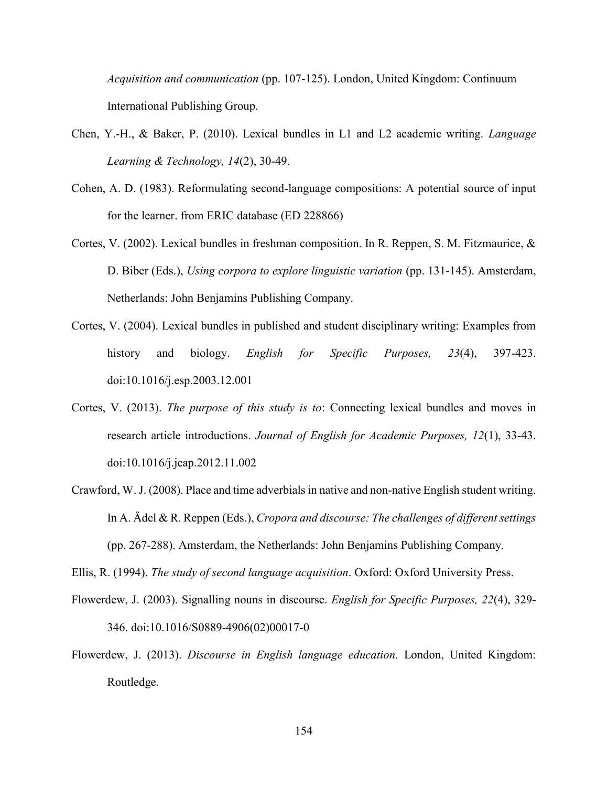*Acquisition and communication* (pp. 107-125). London, United Kingdom: Continuum International Publishing Group.

- Chen, Y.-H., & Baker, P. (2010). Lexical bundles in L1 and L2 academic writing. *Language Learning & Technology, 14*(2), 30-49.
- Cohen, A. D. (1983). Reformulating second-language compositions: A potential source of input for the learner. from ERIC database (ED 228866)
- Cortes, V. (2002). Lexical bundles in freshman composition. In R. Reppen, S. M. Fitzmaurice, & D. Biber (Eds.), *Using corpora to explore linguistic variation* (pp. 131-145). Amsterdam, Netherlands: John Benjamins Publishing Company.
- Cortes, V. (2004). Lexical bundles in published and student disciplinary writing: Examples from history and biology. *English for Specific Purposes, 23*(4), 397-423. doi:10.1016/j.esp.2003.12.001
- Cortes, V. (2013). *The purpose of this study is to*: Connecting lexical bundles and moves in research article introductions. *Journal of English for Academic Purposes, 12*(1), 33-43. doi:10.1016/j.jeap.2012.11.002
- Crawford, W. J. (2008). Place and time adverbials in native and non-native English student writing. In A. Ädel & R. Reppen (Eds.), *Cropora and discourse: The challenges of different settings* (pp. 267-288). Amsterdam, the Netherlands: John Benjamins Publishing Company.

Ellis, R. (1994). *The study of second language acquisition*. Oxford: Oxford University Press.

- Flowerdew, J. (2003). Signalling nouns in discourse. *English for Specific Purposes, 22*(4), 329- 346. doi:10.1016/S0889-4906(02)00017-0
- Flowerdew, J. (2013). *Discourse in English language education*. London, United Kingdom: Routledge.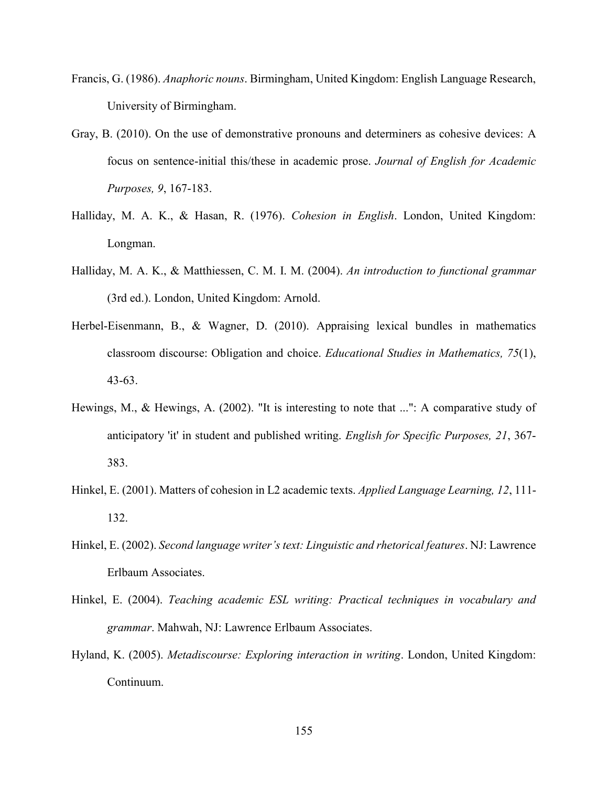- Francis, G. (1986). *Anaphoric nouns*. Birmingham, United Kingdom: English Language Research, University of Birmingham.
- Gray, B. (2010). On the use of demonstrative pronouns and determiners as cohesive devices: A focus on sentence-initial this/these in academic prose. *Journal of English for Academic Purposes, 9*, 167-183.
- Halliday, M. A. K., & Hasan, R. (1976). *Cohesion in English*. London, United Kingdom: Longman.
- Halliday, M. A. K., & Matthiessen, C. M. I. M. (2004). *An introduction to functional grammar* (3rd ed.). London, United Kingdom: Arnold.
- Herbel-Eisenmann, B., & Wagner, D. (2010). Appraising lexical bundles in mathematics classroom discourse: Obligation and choice. *Educational Studies in Mathematics, 75*(1), 43-63.
- Hewings, M., & Hewings, A. (2002). "It is interesting to note that ...": A comparative study of anticipatory 'it' in student and published writing. *English for Specific Purposes, 21*, 367- 383.
- Hinkel, E. (2001). Matters of cohesion in L2 academic texts. *Applied Language Learning, 12*, 111- 132.
- Hinkel, E. (2002). *Second language writer's text: Linguistic and rhetorical features*. NJ: Lawrence Erlbaum Associates.
- Hinkel, E. (2004). *Teaching academic ESL writing: Practical techniques in vocabulary and grammar*. Mahwah, NJ: Lawrence Erlbaum Associates.
- Hyland, K. (2005). *Metadiscourse: Exploring interaction in writing*. London, United Kingdom: Continuum.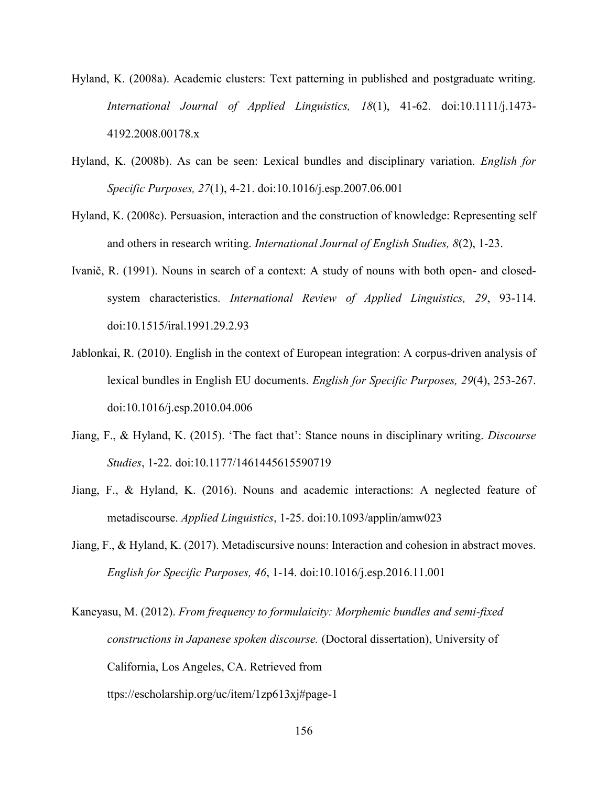- Hyland, K. (2008a). Academic clusters: Text patterning in published and postgraduate writing. *International Journal of Applied Linguistics, 18*(1), 41-62. doi:10.1111/j.1473- 4192.2008.00178.x
- Hyland, K. (2008b). As can be seen: Lexical bundles and disciplinary variation. *English for Specific Purposes, 27*(1), 4-21. doi:10.1016/j.esp.2007.06.001
- Hyland, K. (2008c). Persuasion, interaction and the construction of knowledge: Representing self and others in research writing. *International Journal of English Studies, 8*(2), 1-23.
- Ivanič, R. (1991). Nouns in search of a context: A study of nouns with both open- and closedsystem characteristics. *International Review of Applied Linguistics, 29*, 93-114. doi:10.1515/iral.1991.29.2.93
- Jablonkai, R. (2010). English in the context of European integration: A corpus-driven analysis of lexical bundles in English EU documents. *English for Specific Purposes, 29*(4), 253-267. doi:10.1016/j.esp.2010.04.006
- Jiang, F., & Hyland, K. (2015). 'The fact that': Stance nouns in disciplinary writing. *Discourse Studies*, 1-22. doi:10.1177/1461445615590719
- Jiang, F., & Hyland, K. (2016). Nouns and academic interactions: A neglected feature of metadiscourse. *Applied Linguistics*, 1-25. doi:10.1093/applin/amw023
- Jiang, F., & Hyland, K. (2017). Metadiscursive nouns: Interaction and cohesion in abstract moves. *English for Specific Purposes, 46*, 1-14. doi:10.1016/j.esp.2016.11.001

Kaneyasu, M. (2012). *From frequency to formulaicity: Morphemic bundles and semi-fixed constructions in Japanese spoken discourse.* (Doctoral dissertation), University of California, Los Angeles, CA. Retrieved from ttps://escholarship.org/uc/item/1zp613xj#page-1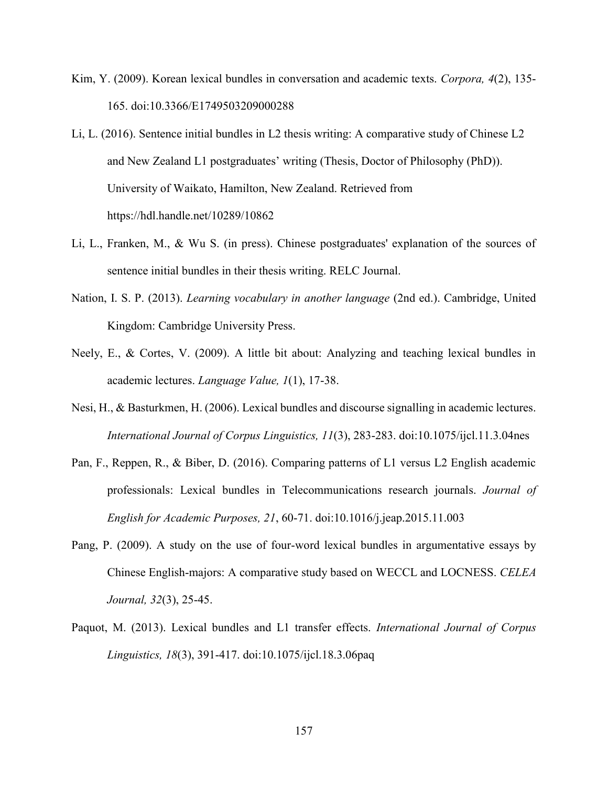- Kim, Y. (2009). Korean lexical bundles in conversation and academic texts. *Corpora, 4*(2), 135- 165. doi:10.3366/E1749503209000288
- Li, L. (2016). Sentence initial bundles in L2 thesis writing: A comparative study of Chinese L2 and New Zealand L1 postgraduates' writing (Thesis, Doctor of Philosophy (PhD)). University of Waikato, Hamilton, New Zealand. Retrieved from https://hdl.handle.net/10289/10862
- Li, L., Franken, M., & Wu S. (in press). Chinese postgraduates' explanation of the sources of sentence initial bundles in their thesis writing. RELC Journal.
- Nation, I. S. P. (2013). *Learning vocabulary in another language* (2nd ed.). Cambridge, United Kingdom: Cambridge University Press.
- Neely, E., & Cortes, V. (2009). A little bit about: Analyzing and teaching lexical bundles in academic lectures. *Language Value, 1*(1), 17-38.
- Nesi, H., & Basturkmen, H. (2006). Lexical bundles and discourse signalling in academic lectures. *International Journal of Corpus Linguistics, 11*(3), 283-283. doi:10.1075/ijcl.11.3.04nes
- Pan, F., Reppen, R., & Biber, D. (2016). Comparing patterns of L1 versus L2 English academic professionals: Lexical bundles in Telecommunications research journals. *Journal of English for Academic Purposes, 21*, 60-71. doi:10.1016/j.jeap.2015.11.003
- Pang, P. (2009). A study on the use of four-word lexical bundles in argumentative essays by Chinese English-majors: A comparative study based on WECCL and LOCNESS. *CELEA Journal, 32*(3), 25-45.
- Paquot, M. (2013). Lexical bundles and L1 transfer effects. *International Journal of Corpus Linguistics, 18*(3), 391-417. doi:10.1075/ijcl.18.3.06paq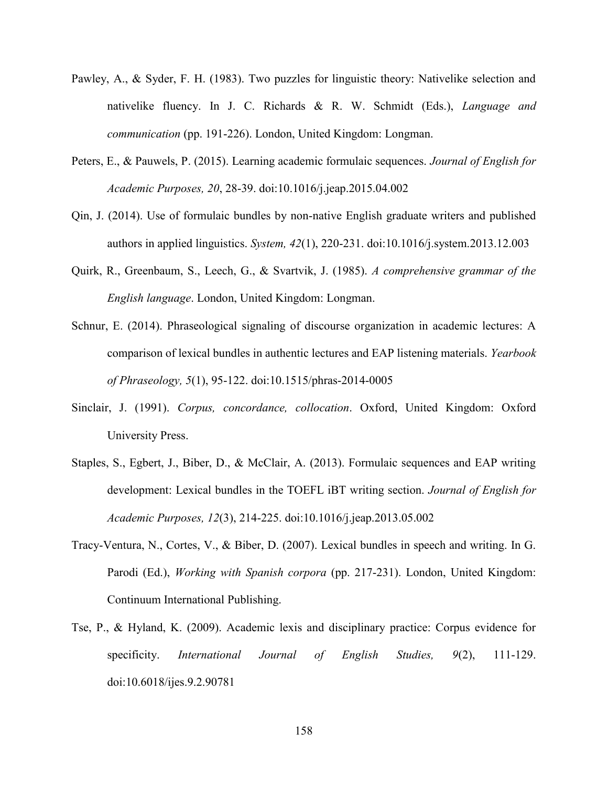- Pawley, A., & Syder, F. H. (1983). Two puzzles for linguistic theory: Nativelike selection and nativelike fluency. In J. C. Richards & R. W. Schmidt (Eds.), *Language and communication* (pp. 191-226). London, United Kingdom: Longman.
- Peters, E., & Pauwels, P. (2015). Learning academic formulaic sequences. *Journal of English for Academic Purposes, 20*, 28-39. doi:10.1016/j.jeap.2015.04.002
- Qin, J. (2014). Use of formulaic bundles by non-native English graduate writers and published authors in applied linguistics. *System, 42*(1), 220-231. doi:10.1016/j.system.2013.12.003
- Quirk, R., Greenbaum, S., Leech, G., & Svartvik, J. (1985). *A comprehensive grammar of the English language*. London, United Kingdom: Longman.
- Schnur, E. (2014). Phraseological signaling of discourse organization in academic lectures: A comparison of lexical bundles in authentic lectures and EAP listening materials. *Yearbook of Phraseology, 5*(1), 95-122. doi:10.1515/phras-2014-0005
- Sinclair, J. (1991). *Corpus, concordance, collocation*. Oxford, United Kingdom: Oxford University Press.
- Staples, S., Egbert, J., Biber, D., & McClair, A. (2013). Formulaic sequences and EAP writing development: Lexical bundles in the TOEFL iBT writing section. *Journal of English for Academic Purposes, 12*(3), 214-225. doi:10.1016/j.jeap.2013.05.002
- Tracy-Ventura, N., Cortes, V., & Biber, D. (2007). Lexical bundles in speech and writing. In G. Parodi (Ed.), *Working with Spanish corpora* (pp. 217-231). London, United Kingdom: Continuum International Publishing.
- Tse, P., & Hyland, K. (2009). Academic lexis and disciplinary practice: Corpus evidence for specificity. *International Journal of English Studies, 9*(2), 111-129. doi:10.6018/ijes.9.2.90781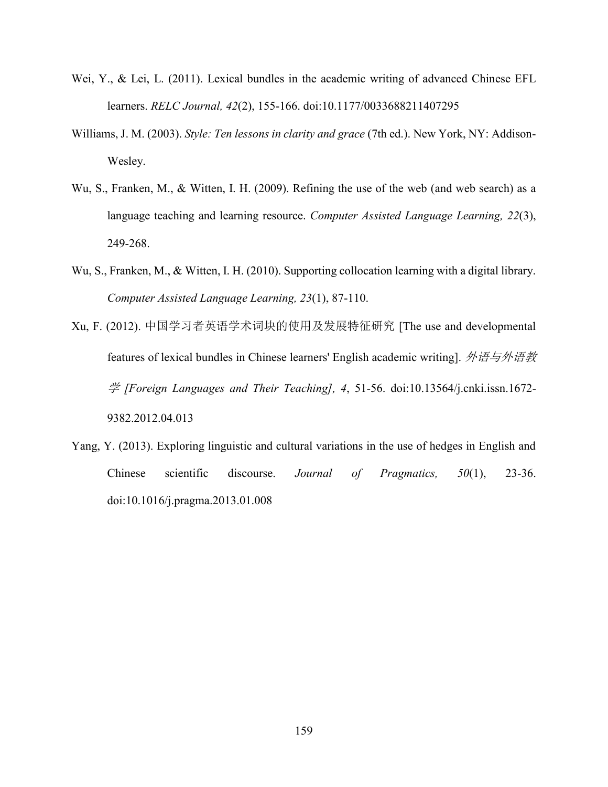- Wei,  $Y_{\cdot}$ , & Lei, L. (2011). Lexical bundles in the academic writing of advanced Chinese EFL learners. *RELC Journal, 42*(2), 155-166. doi:10.1177/0033688211407295
- Williams, J. M. (2003). *Style: Ten lessons in clarity and grace* (7th ed.). New York, NY: Addison-Wesley.
- Wu, S., Franken, M., & Witten, I. H. (2009). Refining the use of the web (and web search) as a language teaching and learning resource. *Computer Assisted Language Learning, 22*(3), 249-268.
- Wu, S., Franken, M., & Witten, I. H. (2010). Supporting collocation learning with a digital library. *Computer Assisted Language Learning, 23*(1), 87-110.
- Xu, F. (2012). 中国学习者英语学术词块的使用及发展特征研究 [The use and developmental features of lexical bundles in Chinese learners' English academic writing]. 外语与外语教 学 *[Foreign Languages and Their Teaching], 4*, 51-56. doi:10.13564/j.cnki.issn.1672- 9382.2012.04.013
- Yang, Y. (2013). Exploring linguistic and cultural variations in the use of hedges in English and Chinese scientific discourse. *Journal of Pragmatics, 50*(1), 23-36. doi:10.1016/j.pragma.2013.01.008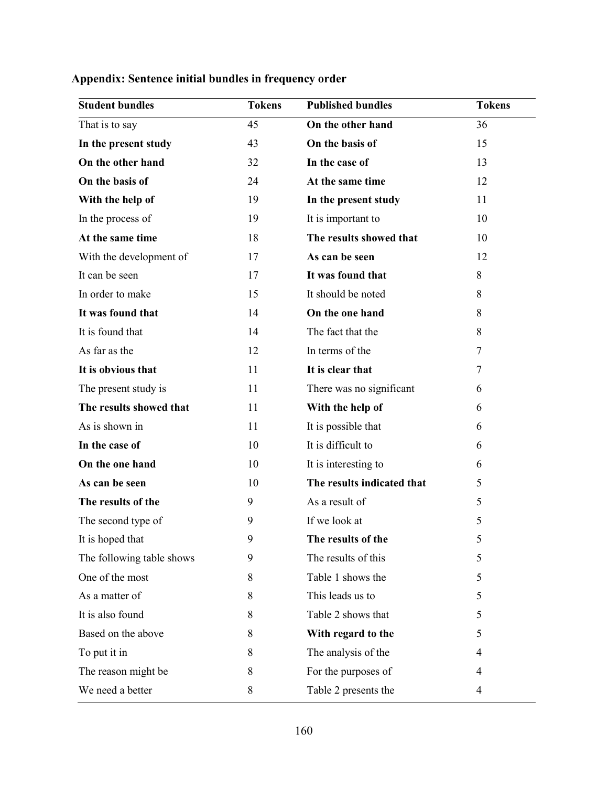| <b>Student bundles</b>    | <b>Tokens</b> | <b>Published bundles</b>   | <b>Tokens</b> |
|---------------------------|---------------|----------------------------|---------------|
| That is to say            | 45            | On the other hand          | 36            |
| In the present study      | 43            | On the basis of            | 15            |
| On the other hand         | 32            | In the case of             | 13            |
| On the basis of           | 24            | At the same time           | 12            |
| With the help of          | 19            | In the present study       | 11            |
| In the process of         | 19            | It is important to         | 10            |
| At the same time          | 18            | The results showed that    | 10            |
| With the development of   | 17            | As can be seen             | 12            |
| It can be seen            | 17            | It was found that          | 8             |
| In order to make          | 15            | It should be noted         | 8             |
| It was found that         | 14            | On the one hand            | 8             |
| It is found that          | 14            | The fact that the          | 8             |
| As far as the             | 12            | In terms of the            | 7             |
| It is obvious that        | 11            | It is clear that           | 7             |
| The present study is      | 11            | There was no significant   | 6             |
| The results showed that   | 11            | With the help of           | 6             |
| As is shown in            | 11            | It is possible that        | 6             |
| In the case of            | 10            | It is difficult to         | 6             |
| On the one hand           | 10            | It is interesting to       | 6             |
| As can be seen            | 10            | The results indicated that | 5             |
| The results of the        | 9             | As a result of             | 5             |
| The second type of        | 9             | If we look at              | 5             |
| It is hoped that          | 9             | The results of the         | 5             |
| The following table shows | 9             | The results of this        | 5             |
| One of the most           | 8             | Table 1 shows the          | 5             |
| As a matter of            | 8             | This leads us to           | 5             |
| It is also found          | 8             | Table 2 shows that         | 5             |
| Based on the above        | 8             | With regard to the         | 5             |
| To put it in              | 8             | The analysis of the        | 4             |
| The reason might be       | 8             | For the purposes of        | 4             |
| We need a better          | $8\,$         | Table 2 presents the       | 4             |

# **Appendix: Sentence initial bundles in frequency order**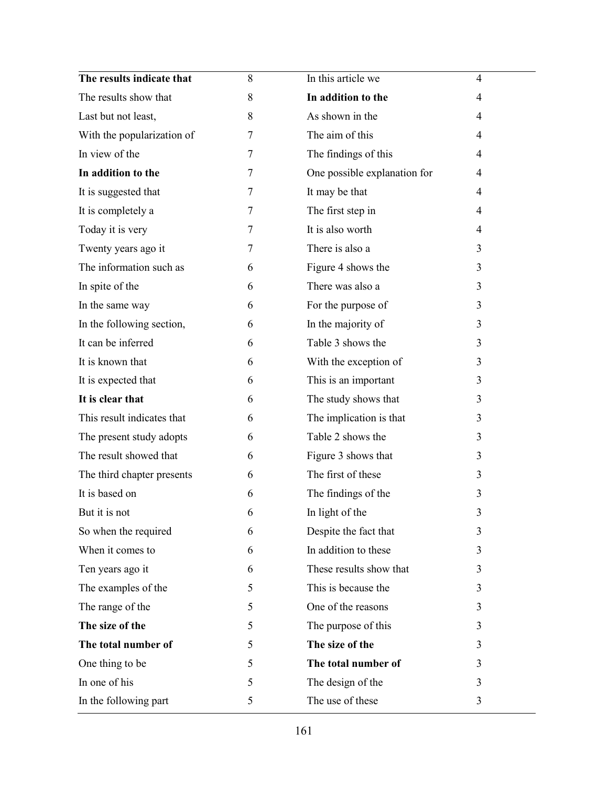| The results indicate that  | 8      | In this article we           | $\overline{4}$ |
|----------------------------|--------|------------------------------|----------------|
| The results show that      | 8      | In addition to the           | 4              |
| Last but not least,        | 8      | As shown in the              | $\overline{4}$ |
| With the popularization of | 7      | The aim of this              | 4              |
| In view of the             | 7      | The findings of this         | 4              |
| In addition to the         | 7      | One possible explanation for | $\overline{4}$ |
| It is suggested that       | $\tau$ | It may be that               | 4              |
| It is completely a         | 7      | The first step in            | 4              |
| Today it is very           | 7      | It is also worth             | 4              |
| Twenty years ago it        | 7      | There is also a              | 3              |
| The information such as    | 6      | Figure 4 shows the           | 3              |
| In spite of the            | 6      | There was also a             | 3              |
| In the same way            | 6      | For the purpose of           | 3              |
| In the following section,  | 6      | In the majority of           | 3              |
| It can be inferred         | 6      | Table 3 shows the            | 3              |
| It is known that           | 6      | With the exception of        | 3              |
| It is expected that        | 6      | This is an important         | 3              |
| It is clear that           | 6      | The study shows that         | 3              |
| This result indicates that | 6      | The implication is that      | 3              |
| The present study adopts   | 6      | Table 2 shows the            | 3              |
| The result showed that     | 6      | Figure 3 shows that          | 3              |
| The third chapter presents | 6      | The first of these           | 3              |
| It is based on             | 6      | The findings of the          | 3              |
| But it is not              | 6      | In light of the              | 3              |
| So when the required       | 6      | Despite the fact that        | 3              |
| When it comes to           | 6      | In addition to these         | 3              |
| Ten years ago it           | 6      | These results show that      | 3              |
| The examples of the        | 5      | This is because the          | 3              |
| The range of the           | 5      | One of the reasons           | 3              |
| The size of the            | 5      | The purpose of this          | 3              |
| The total number of        | 5      | The size of the              | 3              |
| One thing to be            | 5      | The total number of          | 3              |
| In one of his              | 5      | The design of the            | 3              |
| In the following part      | 5      | The use of these             | 3              |